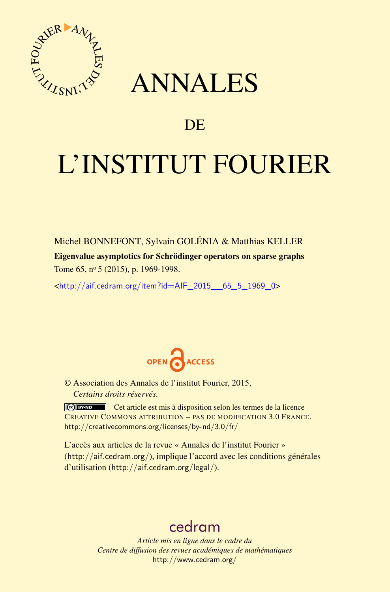

## ANNALES

## **DE**

# L'INSTITUT FOURIER

Michel BONNEFONT, Sylvain GOLÉNIA & Matthias KELLER Eigenvalue asymptotics for Schrödinger operators on sparse graphs Tome 65, nº 5 (2015), p. 1969-1998.

<[http://aif.cedram.org/item?id=AIF\\_2015\\_\\_65\\_5\\_1969\\_0](http://aif.cedram.org/item?id=AIF_2015__65_5_1969_0)>



© Association des Annales de l'institut Fourier, 2015, *Certains droits réservés.*

Cet article est mis à disposition selon les termes de la licence CREATIVE COMMONS ATTRIBUTION – PAS DE MODIFICATION 3.0 FRANCE. <http://creativecommons.org/licenses/by-nd/3.0/fr/>

L'accès aux articles de la revue « Annales de l'institut Fourier » (<http://aif.cedram.org/>), implique l'accord avec les conditions générales d'utilisation (<http://aif.cedram.org/legal/>).

## [cedram](http://www.cedram.org/)

*Article mis en ligne dans le cadre du Centre de diffusion des revues académiques de mathématiques* <http://www.cedram.org/>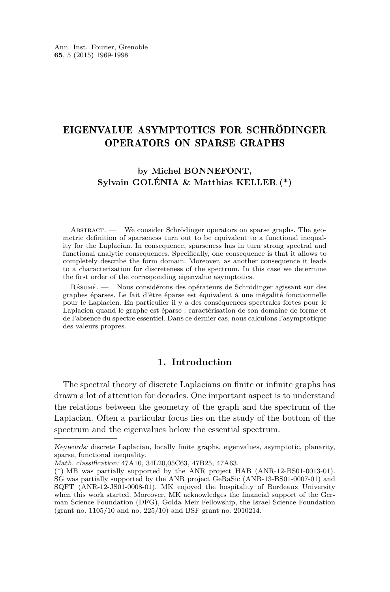### EIGENVALUE ASYMPTOTICS FOR SCHRÖDINGER OPERATORS ON SPARSE GRAPHS

**by Michel BONNEFONT, Sylvain GOLÉNIA & Matthias KELLER (\*)**

Abstract. — We consider Schrödinger operators on sparse graphs. The geometric definition of sparseness turn out to be equivalent to a functional inequality for the Laplacian. In consequence, sparseness has in turn strong spectral and functional analytic consequences. Specifically, one consequence is that it allows to completely describe the form domain. Moreover, as another consequence it leads to a characterization for discreteness of the spectrum. In this case we determine the first order of the corresponding eigenvalue asymptotics.

Résumé. — Nous considérons des opérateurs de Schrödinger agissant sur des graphes éparses. Le fait d'être éparse est équivalent à une inégalité fonctionnelle pour le Laplacien. En particulier il y a des conséquences spectrales fortes pour le Laplacien quand le graphe est éparse : caractérisation de son domaine de forme et de l'absence du spectre essentiel. Dans ce dernier cas, nous calculons l'asymptotique des valeurs propres.

#### **1. Introduction**

The spectral theory of discrete Laplacians on finite or infinite graphs has drawn a lot of attention for decades. One important aspect is to understand the relations between the geometry of the graph and the spectrum of the Laplacian. Often a particular focus lies on the study of the bottom of the spectrum and the eigenvalues below the essential spectrum.

Keywords: discrete Laplacian, locally finite graphs, eigenvalues, asymptotic, planarity, sparse, functional inequality.

Math. classification: 47A10, 34L20,05C63, 47B25, 47A63.

<sup>(\*)</sup> MB was partially supported by the ANR project HAB (ANR-12-BS01-0013-01). SG was partially supported by the ANR project GeRaSic (ANR-13-BS01-0007-01) and SQFT (ANR-12-JS01-0008-01). MK enjoyed the hospitality of Bordeaux University when this work started. Moreover, MK acknowledges the financial support of the German Science Foundation (DFG), Golda Meir Fellowship, the Israel Science Foundation (grant no. 1105/10 and no. 225/10) and BSF grant no. 2010214.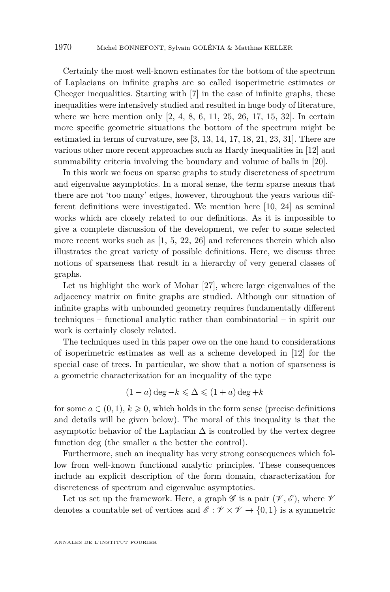Certainly the most well-known estimates for the bottom of the spectrum of Laplacians on infinite graphs are so called isoperimetric estimates or Cheeger inequalities. Starting with [\[7\]](#page-28-0) in the case of infinite graphs, these inequalities were intensively studied and resulted in huge body of literature, where we here mention only  $[2, 4, 8, 6, 11, 25, 26, 17, 15, 32]$  $[2, 4, 8, 6, 11, 25, 26, 17, 15, 32]$  $[2, 4, 8, 6, 11, 25, 26, 17, 15, 32]$  $[2, 4, 8, 6, 11, 25, 26, 17, 15, 32]$  $[2, 4, 8, 6, 11, 25, 26, 17, 15, 32]$  $[2, 4, 8, 6, 11, 25, 26, 17, 15, 32]$  $[2, 4, 8, 6, 11, 25, 26, 17, 15, 32]$  $[2, 4, 8, 6, 11, 25, 26, 17, 15, 32]$  $[2, 4, 8, 6, 11, 25, 26, 17, 15, 32]$  $[2, 4, 8, 6, 11, 25, 26, 17, 15, 32]$  $[2, 4, 8, 6, 11, 25, 26, 17, 15, 32]$  $[2, 4, 8, 6, 11, 25, 26, 17, 15, 32]$  $[2, 4, 8, 6, 11, 25, 26, 17, 15, 32]$  $[2, 4, 8, 6, 11, 25, 26, 17, 15, 32]$  $[2, 4, 8, 6, 11, 25, 26, 17, 15, 32]$  $[2, 4, 8, 6, 11, 25, 26, 17, 15, 32]$  $[2, 4, 8, 6, 11, 25, 26, 17, 15, 32]$  $[2, 4, 8, 6, 11, 25, 26, 17, 15, 32]$  $[2, 4, 8, 6, 11, 25, 26, 17, 15, 32]$ . In certain more specific geometric situations the bottom of the spectrum might be estimated in terms of curvature, see [\[3,](#page-28-0) [13,](#page-29-0) [14,](#page-29-0) [17,](#page-29-0) [18,](#page-29-0) [21,](#page-29-0) [23,](#page-29-0) [31\]](#page-29-0). There are various other more recent approaches such as Hardy inequalities in [\[12\]](#page-29-0) and summability criteria involving the boundary and volume of balls in [\[20\]](#page-29-0).

In this work we focus on sparse graphs to study discreteness of spectrum and eigenvalue asymptotics. In a moral sense, the term sparse means that there are not 'too many' edges, however, throughout the years various different definitions were investigated. We mention here [\[10,](#page-28-0) [24\]](#page-29-0) as seminal works which are closely related to our definitions. As it is impossible to give a complete discussion of the development, we refer to some selected more recent works such as [\[1,](#page-28-0) [5,](#page-28-0) [22,](#page-29-0) [26\]](#page-29-0) and references therein which also illustrates the great variety of possible definitions. Here, we discuss three notions of sparseness that result in a hierarchy of very general classes of graphs.

Let us highlight the work of Mohar [\[27\]](#page-29-0), where large eigenvalues of the adjacency matrix on finite graphs are studied. Although our situation of infinite graphs with unbounded geometry requires fundamentally different techniques – functional analytic rather than combinatorial – in spirit our work is certainly closely related.

The techniques used in this paper owe on the one hand to considerations of isoperimetric estimates as well as a scheme developed in [\[12\]](#page-29-0) for the special case of trees. In particular, we show that a notion of sparseness is a geometric characterization for an inequality of the type

$$
(1-a)\deg -k \leq \Delta \leq (1+a)\deg +k
$$

for some  $a \in (0,1)$ ,  $k \geq 0$ , which holds in the form sense (precise definitions and details will be given below). The moral of this inequality is that the asymptotic behavior of the Laplacian  $\Delta$  is controlled by the vertex degree function deg (the smaller *a* the better the control).

Furthermore, such an inequality has very strong consequences which follow from well-known functional analytic principles. These consequences include an explicit description of the form domain, characterization for discreteness of spectrum and eigenvalue asymptotics.

Let us set up the framework. Here, a graph  $\mathscr G$  is a pair  $(\mathscr V,\mathscr E)$ , where  $\mathscr V$ denotes a countable set of vertices and  $\mathscr{E} : \mathscr{V} \times \mathscr{V} \to \{0,1\}$  is a symmetric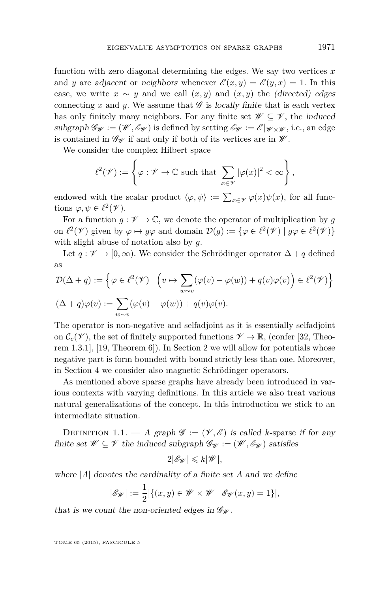function with zero diagonal determining the edges. We say two vertices *x* and *y* are adjacent or neighbors whenever  $\mathscr{E}(x, y) = \mathscr{E}(y, x) = 1$ . In this case, we write  $x \sim y$  and we call  $(x, y)$  and  $(x, y)$  the (directed) edges connecting x and y. We assume that  $\mathscr G$  is locally finite that is each vertex has only finitely many neighbors. For any finite set  $\mathscr{W} \subseteq \mathscr{V}$ , the induced subgraph  $\mathscr{G}_{\mathscr{W}} := (\mathscr{W}, \mathscr{E}_{\mathscr{W}})$  is defined by setting  $\mathscr{E}_{\mathscr{W}} := \mathscr{E}|_{\mathscr{W} \times \mathscr{W}}$ , i.e., an edge is contained in  $\mathscr{G}_{\mathscr{W}}$  if and only if both of its vertices are in  $\mathscr{W}$ .

We consider the complex Hilbert space

$$
\ell^2(\mathscr{V}) := \left\{ \varphi : \mathscr{V} \to \mathbb{C} \text{ such that } \sum_{x \in \mathscr{V}} |\varphi(x)|^2 < \infty \right\},\
$$

endowed with the scalar product  $\langle \varphi, \psi \rangle := \sum_{x \in \mathscr{V}} \varphi(x) \psi(x)$ , for all functions  $\varphi, \psi \in \ell^2(\mathscr{V})$ .

For a function  $g: \mathscr{V} \to \mathbb{C}$ , we denote the operator of multiplication by g on  $\ell^2(\mathscr{V})$  given by  $\varphi \mapsto g\varphi$  and domain  $\mathcal{D}(g) := \{ \varphi \in \ell^2(\mathscr{V}) \mid g\varphi \in \ell^2(\mathscr{V}) \}$ with slight abuse of notation also by *g*.

Let  $q: \mathscr{V} \to [0,\infty)$ . We consider the Schrödinger operator  $\Delta + q$  defined as

$$
\mathcal{D}(\Delta + q) := \left\{ \varphi \in \ell^2(\mathcal{V}) \mid \left( v \mapsto \sum_{w \sim v} (\varphi(v) - \varphi(w)) + q(v)\varphi(v) \right) \in \ell^2(\mathcal{V}) \right\}
$$
  

$$
(\Delta + q)\varphi(v) := \sum_{w \sim v} (\varphi(v) - \varphi(w)) + q(v)\varphi(v).
$$

The operator is non-negative and selfadjoint as it is essentially selfadjoint on  $\mathcal{C}_c(\mathcal{V})$ , the set of finitely supported functions  $\mathcal{V} \to \mathbb{R}$ , (confer [\[32,](#page-29-0) Theorem 1.3.1], [\[19,](#page-29-0) Theorem 6]). In Section [2](#page-5-0) we will allow for potentials whose negative part is form bounded with bound strictly less than one. Moreover, in Section [4](#page-14-0) we consider also magnetic Schrödinger operators.

As mentioned above sparse graphs have already been introduced in various contexts with varying definitions. In this article we also treat various natural generalizations of the concept. In this introduction we stick to an intermediate situation.

DEFINITION 1.1. — A graph  $\mathscr{G} := (\mathscr{V}, \mathscr{E})$  is called *k*-sparse if for any finite set  $\mathscr{W} \subseteq \mathscr{V}$  the induced subgraph  $\mathscr{G}_{\mathscr{W}} := (\mathscr{W}, \mathscr{E}_{\mathscr{W}})$  satisfies

$$
2|\mathscr{E}_{\mathscr{W}}| \leqslant k|\mathscr{W}|,
$$

where |*A*| denotes the cardinality of a finite set *A* and we define

$$
|\mathscr{E}_{\mathscr{W}}| := \frac{1}{2} |\{(x, y) \in \mathscr{W} \times \mathscr{W} \mid \mathscr{E}_{\mathscr{W}}(x, y) = 1\}|,
$$

that is we count the non-oriented edges in  $\mathcal{G}_{\mathcal{W}}$ .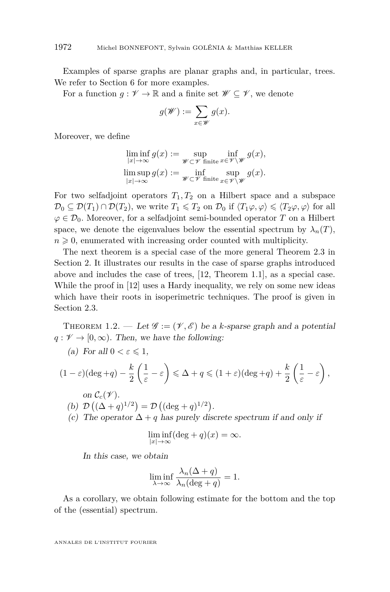<span id="page-4-0"></span>Examples of sparse graphs are planar graphs and, in particular, trees. We refer to Section [6](#page-22-0) for more examples.

For a function  $g: \mathscr{V} \to \mathbb{R}$  and a finite set  $\mathscr{W} \subseteq \mathscr{V}$ , we denote

$$
g(\mathscr{W}) := \sum_{x \in \mathscr{W}} g(x).
$$

Moreover, we define

$$
\liminf_{|x|\to\infty} g(x) := \sup_{\substack{\mathscr{W}\subset\mathscr{V} \text{ finite}}} \inf_{x\in\mathscr{V}\setminus\mathscr{W}} g(x),
$$
  

$$
\limsup_{|x|\to\infty} g(x) := \inf_{\substack{\mathscr{W}\subset\mathscr{V} \text{ finite}}} \sup_{x\in\mathscr{V}\setminus\mathscr{W}} g(x).
$$

For two selfadjoint operators  $T_1, T_2$  on a Hilbert space and a subspace  $\mathcal{D}_0 \subseteq \mathcal{D}(T_1) \cap \mathcal{D}(T_2)$ , we write  $T_1 \leq T_2$  on  $\mathcal{D}_0$  if  $\langle T_1\varphi, \varphi \rangle \leq \langle T_2\varphi, \varphi \rangle$  for all  $\varphi \in \mathcal{D}_0$ . Moreover, for a selfadjoint semi-bounded operator *T* on a Hilbert space, we denote the eigenvalues below the essential spectrum by  $\lambda_n(T)$ ,  $n \geqslant 0$ , enumerated with increasing order counted with multiplicity.

The next theorem is a special case of the more general Theorem [2.3](#page-7-0) in Section [2.](#page-5-0) It illustrates our results in the case of sparse graphs introduced above and includes the case of trees, [\[12,](#page-29-0) Theorem 1.1], as a special case. While the proof in [\[12\]](#page-29-0) uses a Hardy inequality, we rely on some new ideas which have their roots in isoperimetric techniques. The proof is given in Section [2.3.](#page-7-0)

THEOREM 1.2. — Let  $\mathscr{G} := (\mathscr{V}, \mathscr{E})$  be a *k*-sparse graph and a potential  $q: \mathscr{V} \to [0, \infty)$ . Then, we have the following:

(a) For all 
$$
0 < \varepsilon \leq 1
$$
,

$$
(1 - \varepsilon)(\deg + q) - \frac{k}{2} \left(\frac{1}{\varepsilon} - \varepsilon\right) \le \Delta + q \le (1 + \varepsilon)(\deg + q) + \frac{k}{2} \left(\frac{1}{\varepsilon} - \varepsilon\right),
$$
  
on  $C_c(\mathcal{V})$ .

(b) 
$$
\mathcal{D}((\Delta + q)^{1/2}) = \mathcal{D}((\deg + q)^{1/2}).
$$

(c) The operator  $\Delta + q$  has purely discrete spectrum if and only if

$$
\liminf_{|x| \to \infty} (\deg + q)(x) = \infty.
$$

In this case, we obtain

$$
\liminf_{\lambda \to \infty} \frac{\lambda_n(\Delta + q)}{\lambda_n(\deg + q)} = 1.
$$

As a corollary, we obtain following estimate for the bottom and the top of the (essential) spectrum.

ANNALES DE L'INSTITUT FOURIER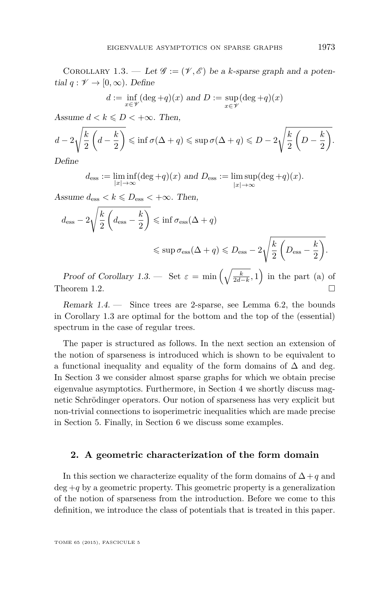<span id="page-5-0"></span>COROLLARY 1.3. — Let  $\mathscr{G} := (\mathscr{V}, \mathscr{E})$  be a *k*-sparse graph and a potential  $q: \mathscr{V} \to [0, \infty)$ . Define

$$
d := \inf_{x \in \mathcal{V}} (\deg + q)(x) \text{ and } D := \sup_{x \in \mathcal{V}} (\deg + q)(x)
$$

Assume  $d < k \le D < +\infty$ . Then,

$$
d-2\sqrt{\frac{k}{2}\left(d-\frac{k}{2}\right)} \leqslant \inf \sigma(\Delta+q) \leqslant \sup \sigma(\Delta+q) \leqslant D-2\sqrt{\frac{k}{2}\left(D-\frac{k}{2}\right)}.
$$

Define

$$
d_{\text{ess}} := \liminf_{|x| \to \infty} (\deg + q)(x) \text{ and } D_{\text{ess}} := \limsup_{|x| \to \infty} (\deg + q)(x).
$$

Assume  $d_{\text{ess}} < k \le D_{\text{ess}} < +\infty$ . Then,

$$
d_{\text{ess}} - 2\sqrt{\frac{k}{2} \left(d_{\text{ess}} - \frac{k}{2}\right)} \leqslant \inf \sigma_{\text{ess}}(\Delta + q)
$$
  

$$
\leqslant \sup \sigma_{\text{ess}}(\Delta + q) \leqslant D_{\text{ess}} - 2\sqrt{\frac{k}{2} \left(D_{\text{ess}} - \frac{k}{2}\right)}.
$$

Proof of Corollary 1.3. — Set  $\varepsilon = \min\left(\sqrt{\frac{k}{2d-k}}, 1\right)$  in the part (a) of Theorem [1.2.](#page-4-0)  $\Box$ 

Remark 1.4. — Since trees are 2-sparse, see Lemma [6.2,](#page-23-0) the bounds in Corollary 1.3 are optimal for the bottom and the top of the (essential) spectrum in the case of regular trees.

The paper is structured as follows. In the next section an extension of the notion of sparseness is introduced which is shown to be equivalent to a functional inequality and equality of the form domains of  $\Delta$  and deg. In Section [3](#page-13-0) we consider almost sparse graphs for which we obtain precise eigenvalue asymptotics. Furthermore, in Section [4](#page-14-0) we shortly discuss magnetic Schrödinger operators. Our notion of sparseness has very explicit but non-trivial connections to isoperimetric inequalities which are made precise in Section [5.](#page-18-0) Finally, in Section [6](#page-22-0) we discuss some examples.

#### **2. A geometric characterization of the form domain**

In this section we characterize equality of the form domains of  $\Delta + q$  and deg +*q* by a geometric property. This geometric property is a generalization of the notion of sparseness from the introduction. Before we come to this definition, we introduce the class of potentials that is treated in this paper.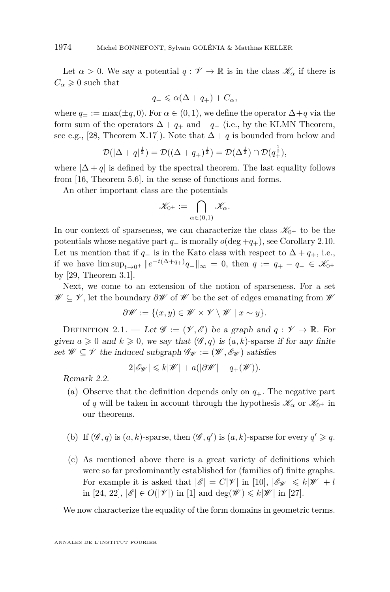Let  $\alpha > 0$ . We say a potential  $q : \mathcal{V} \to \mathbb{R}$  is in the class  $\mathcal{K}_{\alpha}$  if there is  $C_{\alpha} \geqslant 0$  such that

$$
q_- \leq \alpha(\Delta + q_+) + C_\alpha,
$$

where  $q_{\pm} := \max(\pm q, 0)$ . For  $\alpha \in (0, 1)$ , we define the operator  $\Delta + q$  via the form sum of the operators  $\Delta + q_+$  and  $-q_-$  (i.e., by the KLMN Theorem, see e.g., [\[28,](#page-29-0) Theorem X.17]). Note that  $\Delta + q$  is bounded from below and

$$
\mathcal{D}(|\Delta + q|^{\frac{1}{2}}) = \mathcal{D}((\Delta + q_+)^{\frac{1}{2}}) = \mathcal{D}(\Delta^{\frac{1}{2}}) \cap \mathcal{D}(q_+^{\frac{1}{2}}),
$$

where  $|\Delta + q|$  is defined by the spectral theorem. The last equality follows from [\[16,](#page-29-0) Theorem 5.6]. in the sense of functions and forms.

An other important class are the potentials

$$
\mathscr{K}_{0^+}:=\bigcap_{\alpha\in(0,1)}\mathscr{K}_\alpha.
$$

In our context of sparseness, we can characterize the class  $\mathscr{K}_{0+}$  to be the potentials whose negative part  $q_-\$  is morally  $o(\text{deg} + q_+)$ , see Corollary [2.10.](#page-12-0) Let us mention that if  $q_$  is in the Kato class with respect to  $\Delta + q_+$ , i.e., if we have  $\limsup_{t\to 0^+} ||e^{-t(\Delta+q_+)}q_+||_{\infty} = 0$ , then  $q := q_+ - q_- \in \mathcal{K}_{0^+}$ by [\[29,](#page-29-0) Theorem 3.1].

Next, we come to an extension of the notion of sparseness. For a set W ⊆ V , let the boundary *∂*W of W be the set of edges emanating from W

$$
\partial \mathscr{W} := \{ (x, y) \in \mathscr{W} \times \mathscr{V} \setminus \mathscr{W} \mid x \sim y \}.
$$

DEFINITION 2.1. — Let  $\mathscr{G} := (\mathscr{V}, \mathscr{E})$  be a graph and  $q : \mathscr{V} \to \mathbb{R}$ . For given  $a \geq 0$  and  $k \geq 0$ , we say that  $(\mathscr{G}, q)$  is  $(a, k)$ -sparse if for any finite set  $\mathscr{W} \subseteq \mathscr{V}$  the induced subgraph  $\mathscr{G}_{\mathscr{W}} := (\mathscr{W}, \mathscr{E}_{\mathscr{W}})$  satisfies

$$
2|\mathscr{E}_\mathscr{W}| \leq k|\mathscr{W}| + a(|\partial \mathscr{W}| + q_+(\mathscr{W})).
$$

Remark 2.2.

- (a) Observe that the definition depends only on  $q_{+}$ . The negative part of *q* will be taken in account through the hypothesis  $\mathscr{K}_{\alpha}$  or  $\mathscr{K}_{0+}$  in our theorems.
- (b) If  $(\mathscr{G}, q)$  is  $(a, k)$ -sparse, then  $(\mathscr{G}, q')$  is  $(a, k)$ -sparse for every  $q' \geqslant q$ .
- (c) As mentioned above there is a great variety of definitions which were so far predominantly established for (families of) finite graphs. For example it is asked that  $|\mathscr{E}| = C|\mathscr{V}|$  in [\[10\]](#page-28-0),  $|\mathscr{E}_{\mathscr{W}}| \leq k|\mathscr{W}| + l$ in [\[24,](#page-29-0) [22\]](#page-29-0),  $|\mathscr{E}| \in O(|\mathscr{V}|)$  in [\[1\]](#page-28-0) and  $\deg(\mathscr{W}) \leq k|\mathscr{W}|$  in [\[27\]](#page-29-0).

We now characterize the equality of the form domains in geometric terms.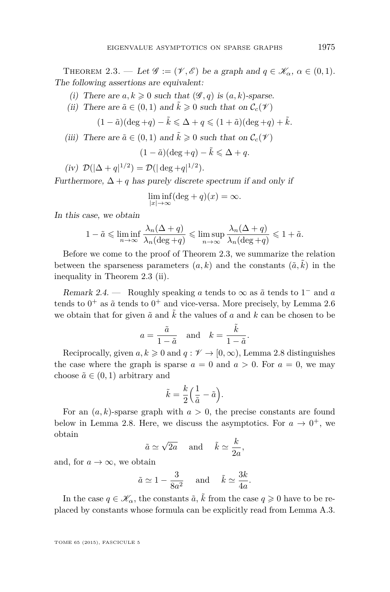<span id="page-7-0"></span>THEOREM 2.3. — Let  $\mathscr{G} := (\mathscr{V}, \mathscr{E})$  be a graph and  $q \in \mathscr{K}_{\alpha}, \alpha \in (0, 1)$ . The following assertions are equivalent:

- (i) There are  $a, k \geq 0$  such that  $(\mathscr{G}, q)$  is  $(a, k)$ -sparse.
- (ii) There are  $\tilde{a} \in (0,1)$  and  $\tilde{k} \geq 0$  such that on  $\mathcal{C}_c(\mathcal{V})$

 $(1 - \tilde{a})(\deg q +) - \tilde{k} \leq \Delta + q \leq (1 + \tilde{a})(\deg q +) + \tilde{k}.$ 

(iii) There are  $\tilde{a} \in (0,1)$  and  $\tilde{k} \geq 0$  such that on  $\mathcal{C}_c(\mathcal{V})$ 

$$
(1 - \tilde{a})(\deg + q) - \tilde{k} \le \Delta + q.
$$

$$
(iv) \ \mathcal{D}(|\Delta + q|^{1/2}) = \mathcal{D}(|\deg + q|^{1/2}).
$$

Furthermore,  $\Delta + q$  has purely discrete spectrum if and only if

$$
\liminf_{|x| \to \infty} (\deg + q)(x) = \infty.
$$

In this case, we obtain

$$
1 - \tilde{a} \leqslant \liminf_{n \to \infty} \frac{\lambda_n(\Delta + q)}{\lambda_n(\deg + q)} \leqslant \limsup_{n \to \infty} \frac{\lambda_n(\Delta + q)}{\lambda_n(\deg + q)} \leqslant 1 + \tilde{a}.
$$

Before we come to the proof of Theorem 2.3, we summarize the relation between the sparseness parameters  $(a, k)$  and the constants  $(\tilde{a}, \tilde{k})$  in the inequality in Theorem 2.3 (ii).

Remark 2.4. — Roughly speaking *a* tends to  $\infty$  as  $\tilde{a}$  tends to 1<sup>-</sup> and *a* tends to  $0^+$  as  $\tilde{a}$  tends to  $0^+$  and vice-versa. More precisely, by Lemma [2.6](#page-8-0) we obtain that for given  $\tilde{a}$  and  $\tilde{k}$  the values of a and k can be chosen to be

$$
a = \frac{\tilde{a}}{1 - \tilde{a}}
$$
 and  $k = \frac{\tilde{k}}{1 - \tilde{a}}$ .

Reciprocally, given  $a, k \geq 0$  and  $q: \mathcal{V} \to [0, \infty)$ , Lemma [2.8](#page-9-0) distinguishes the case where the graph is sparse  $a = 0$  and  $a > 0$ . For  $a = 0$ , we may choose  $\tilde{a} \in (0,1)$  arbitrary and

$$
\tilde{k} = \frac{k}{2} \left( \frac{1}{\tilde{a}} - \tilde{a} \right).
$$

For an  $(a, k)$ -sparse graph with  $a > 0$ , the precise constants are found below in Lemma [2.8.](#page-9-0) Here, we discuss the asymptotics. For  $a \to 0^+$ , we obtain

$$
\tilde{a} \simeq \sqrt{2a}
$$
 and  $\tilde{k} \simeq \frac{k}{2a}$ ,

and, for  $a \to \infty$ , we obtain

$$
\tilde{a} \simeq 1 - \frac{3}{8a^2}
$$
 and  $\tilde{k} \simeq \frac{3k}{4a}$ .

In the case  $q \in \mathcal{K}_{\alpha}$ , the constants  $\tilde{a}$ ,  $\tilde{k}$  from the case  $q \geq 0$  have to be replaced by constants whose formula can be explicitly read from Lemma [A.3.](#page-27-0)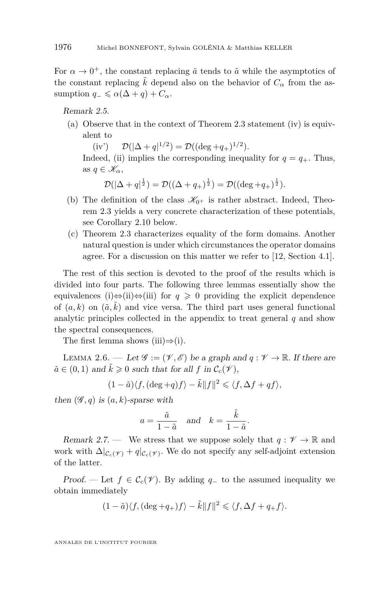<span id="page-8-0"></span>For  $\alpha \to 0^+$ , the constant replacing  $\tilde{a}$  tends to  $\tilde{a}$  while the asymptotics of the constant replacing  $\tilde{k}$  depend also on the behavior of  $C_{\alpha}$  from the assumption  $q_{-} \leq \alpha(\Delta + q) + C_{\alpha}$ .

Remark 2.5.

(a) Observe that in the context of Theorem [2.3](#page-7-0) statement (iv) is equivalent to

 $\text{(iv')} \qquad \mathcal{D}(|\Delta + q|^{1/2}) = \mathcal{D}((\deg + q_+)^{1/2}).$ 

Indeed, (ii) implies the corresponding inequality for  $q = q_+$ . Thus, as  $q \in \mathscr{K}_{\alpha}$ ,

$$
\mathcal{D}(|\Delta + q|^{\frac{1}{2}}) = \mathcal{D}((\Delta + q_+)^{\frac{1}{2}}) = \mathcal{D}((\deg + q_+)^{\frac{1}{2}}).
$$

- (b) The definition of the class  $\mathscr{K}_{0+}$  is rather abstract. Indeed, Theorem [2.3](#page-7-0) yields a very concrete characterization of these potentials, see Corollary [2.10](#page-12-0) below.
- (c) Theorem [2.3](#page-7-0) characterizes equality of the form domains. Another natural question is under which circumstances the operator domains agree. For a discussion on this matter we refer to [\[12,](#page-29-0) Section 4.1].

The rest of this section is devoted to the proof of the results which is divided into four parts. The following three lemmas essentially show the equivalences (i)⇔(ii)⇔(iii) for  $q \ge 0$  providing the explicit dependence of  $(a, k)$  on  $(\tilde{a}, \tilde{k})$  and vice versa. The third part uses general functional analytic principles collected in the appendix to treat general *q* and show the spectral consequences.

The first lemma shows (iii) $\Rightarrow$ (i).

LEMMA 2.6. — Let  $\mathscr{G} := (\mathscr{V}, \mathscr{E})$  be a graph and  $q : \mathscr{V} \to \mathbb{R}$ . If there are  $\tilde{a} \in (0,1)$  and  $\tilde{k} \geq 0$  such that for all  $f$  in  $\mathcal{C}_c(\mathcal{V})$ ,

$$
(1 - \tilde{a})\langle f, (\deg + q)f \rangle - \tilde{k}||f||^2 \leq \langle f, \Delta f + qf \rangle,
$$

then  $(\mathscr{G}, q)$  is  $(a, k)$ -sparse with

$$
a = \frac{\tilde{a}}{1 - \tilde{a}}
$$
 and  $k = \frac{\tilde{k}}{1 - \tilde{a}}$ .

Remark 2.7. — We stress that we suppose solely that  $q: \mathcal{V} \to \mathbb{R}$  and work with  $\Delta|_{\mathcal{C}_c(\mathscr{V})} + q|_{\mathcal{C}_c(\mathscr{V})}$ . We do not specify any self-adjoint extension of the latter.

Proof. — Let  $f \in \mathcal{C}_c(\mathcal{V})$ . By adding  $q_-\,$  to the assumed inequality we obtain immediately

$$
(1-\tilde{a})\langle f,(\deg+q_+)f\rangle-\tilde{k}\|f\|^2\leqslant \langle f,\Delta f+q_+f\rangle.
$$

ANNALES DE L'INSTITUT FOURIER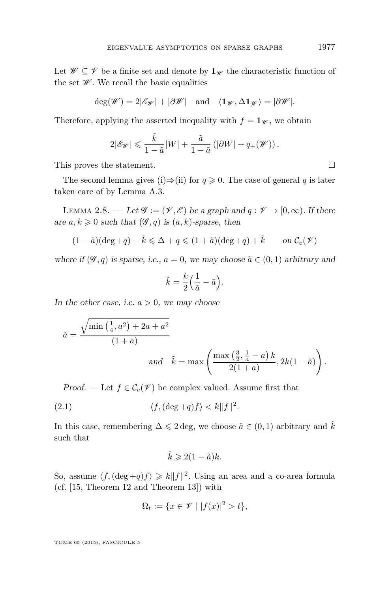<span id="page-9-0"></span>Let  $\mathscr{W} \subseteq \mathscr{V}$  be a finite set and denote by  $\mathbf{1}_{\mathscr{W}}$  the characteristic function of the set  $\mathscr W$ . We recall the basic equalities

$$
\deg(\mathscr{W}) = 2|\mathscr{E}_{\mathscr{W}}| + |\partial \mathscr{W}| \quad \text{and} \quad \langle \mathbf{1}_{\mathscr{W}}, \Delta \mathbf{1}_{\mathscr{W}} \rangle = |\partial \mathscr{W}|.
$$

Therefore, applying the asserted inequality with  $f = \mathbf{1}_{\mathscr{W}}$ , we obtain

$$
2|\mathscr{E}_{\mathscr{W}}| \leqslant \frac{\tilde{k}}{1-\tilde{a}}|W| + \frac{\tilde{a}}{1-\tilde{a}}\left(|\partial W| + q_+(\mathscr{W})\right).
$$

This proves the statement.  $\Box$ 

The second lemma gives (i) $\Rightarrow$ (ii) for  $q \ge 0$ . The case of general q is later taken care of by Lemma [A.3.](#page-27-0)

LEMMA 2.8. — Let  $\mathscr{G} := (\mathscr{V}, \mathscr{E})$  be a graph and  $q : \mathscr{V} \to [0, \infty)$ . If there are  $a, k \geq 0$  such that  $(\mathscr{G}, q)$  is  $(a, k)$ -sparse, then

$$
(1 - \tilde{a})(\deg + q) - \tilde{k} \le \Delta + q \le (1 + \tilde{a})(\deg + q) + \tilde{k} \qquad \text{on } \mathcal{C}_c(\mathscr{V})
$$

where if  $(\mathscr{G}, q)$  is sparse, i.e.,  $a = 0$ , we may choose  $\tilde{a} \in (0, 1)$  arbitrary and

$$
\tilde{k} = \frac{k}{2} \left( \frac{1}{\tilde{a}} - \tilde{a} \right).
$$

In the other case, i.e.  $a > 0$ , we may choose

$$
\tilde{a} = \frac{\sqrt{\min\left(\frac{1}{4}, a^2\right) + 2a + a^2}}{(1+a)}
$$
  
and  $\tilde{k} = \max\left(\frac{\max\left(\frac{3}{2}, \frac{1}{a} - a\right)k}{2(1+a)}, 2k(1-\tilde{a})\right).$ 

*Proof.* — Let  $f \in \mathcal{C}_c(\mathcal{V})$  be complex valued. Assume first that

(2.1) 
$$
\langle f, (\deg + q)f \rangle < k \|f\|^2.
$$

In this case, remembering  $\Delta \leq 2 \text{ deg}$ , we choose  $\tilde{a} \in (0,1)$  arbitrary and k such that

$$
\tilde{k} \geqslant 2(1-\tilde{a})k.
$$

So, assume  $\langle f, (\deg + q)f \rangle \geq k \|f\|^2$ . Using an area and a co-area formula (cf. [\[15,](#page-29-0) Theorem 12 and Theorem 13]) with

$$
\Omega_t := \{ x \in \mathcal{V} \mid |f(x)|^2 > t \},
$$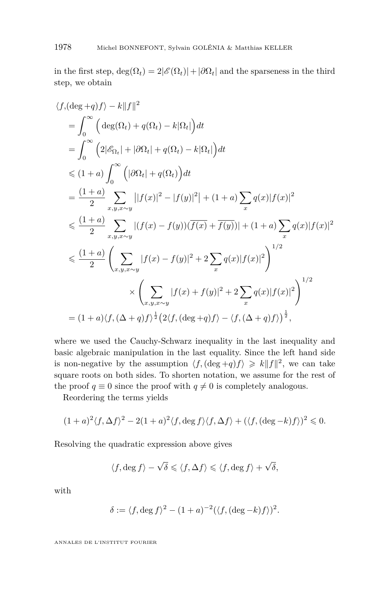in the first step,  $\deg(\Omega_t) = 2|\mathscr{E}(\Omega_t)| + |\partial \Omega_t|$  and the sparseness in the third step, we obtain

$$
\langle f, (\deg + q) f \rangle - k||f||^2
$$
  
=  $\int_0^\infty (\deg(\Omega_t) + q(\Omega_t) - k|\Omega_t|) dt$   
=  $\int_0^\infty (2|\mathscr{E}_{\Omega_t}| + |\partial \Omega_t| + q(\Omega_t) - k|\Omega_t|) dt$   
 $\leq (1+a) \int_0^\infty (|\partial \Omega_t| + q(\Omega_t)) dt$   
=  $\frac{(1+a)}{2} \sum_{x,y,x \sim y} |[f(x)|^2 - |f(y)|^2| + (1+a) \sum_x q(x)|f(x)|^2$   
 $\leq \frac{(1+a)}{2} \sum_{x,y,x \sim y} |(f(x) - f(y))(\overline{f(x)} + \overline{f(y)})| + (1+a) \sum_x q(x)|f(x)|^2$   
 $\leq \frac{(1+a)}{2} \left( \sum_{x,y,x \sim y} |f(x) - f(y)|^2 + 2 \sum_x q(x)|f(x)|^2 \right)^{1/2}$   
 $\times \left( \sum_{x,y,x \sim y} |f(x) + f(y)|^2 + 2 \sum_x q(x)|f(x)|^2 \right)^{1/2}$   
=  $(1+a)\langle f, (\Delta + q)f \rangle^{\frac{1}{2}} (2\langle f, (\deg + q)f \rangle - \langle f, (\Delta + q)f \rangle)^{\frac{1}{2}},$ 

where we used the Cauchy-Schwarz inequality in the last inequality and basic algebraic manipulation in the last equality. Since the left hand side is non-negative by the assumption  $\langle f, (\deg + q)f \rangle \geq k \|f\|^2$ , we can take square roots on both sides. To shorten notation, we assume for the rest of the proof  $q \equiv 0$  since the proof with  $q \neq 0$  is completely analogous.

Reordering the terms yields

$$
(1+a)^2 \langle f, \Delta f \rangle^2 - 2(1+a)^2 \langle f, \deg f \rangle \langle f, \Delta f \rangle + (\langle f, (\deg - k)f \rangle)^2 \leq 0.
$$

Resolving the quadratic expression above gives

$$
\langle f, \deg f \rangle - \sqrt{\delta} \leqslant \langle f, \Delta f \rangle \leqslant \langle f, \deg f \rangle + \sqrt{\delta},
$$

with

$$
\delta := \langle f, \deg f \rangle^2 - (1+a)^{-2} (\langle f, (\deg - k)f \rangle)^2.
$$

ANNALES DE L'INSTITUT FOURIER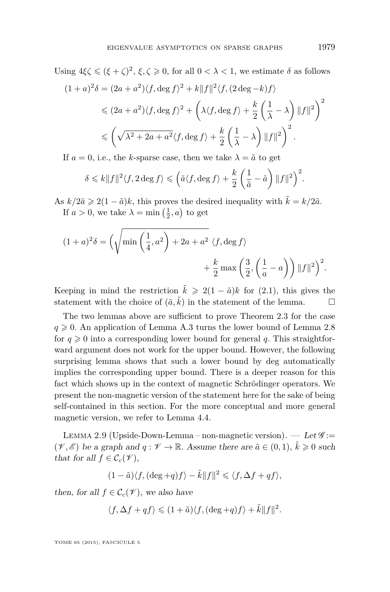<span id="page-11-0"></span>Using  $4\xi \leq (\xi + \zeta)^2$ ,  $\xi, \zeta \geq 0$ , for all  $0 < \lambda < 1$ , we estimate  $\delta$  as follows  $(1+a)^2\delta = (2a+a^2)\langle f, \deg f \rangle^2 + k||f||^2 \langle f, (2 \deg - k)f \rangle$ 

$$
\leq (2a+a^2)\langle f, \deg f \rangle^2 + \left(\lambda \langle f, \deg f \rangle + \frac{k}{2}\left(\frac{1}{\lambda} - \lambda\right) ||f||^2\right)^2
$$
  

$$
\leq \left(\sqrt{\lambda^2 + 2a + a^2} \langle f, \deg f \rangle + \frac{k}{2}\left(\frac{1}{\lambda} - \lambda\right) ||f||^2\right)^2.
$$

If  $a = 0$ , i.e., the *k*-sparse case, then we take  $\lambda = \tilde{a}$  to get

$$
\delta \leq k \|f\|^2 \langle f, 2 \deg f \rangle \leq \left(\tilde{a} \langle f, \deg f \rangle + \frac{k}{2} \left(\frac{1}{\tilde{a}} - \tilde{a}\right) \|f\|^2\right)^2.
$$

As  $k/2\tilde{a} \geq 2(1-\tilde{a})k$ , this proves the desired inequality with  $\tilde{k} = k/2\tilde{a}$ . If  $a > 0$ , we take  $\lambda = \min\left(\frac{1}{2}, a\right)$  to get

$$
(1+a)^2 \delta = \left(\sqrt{\min\left(\frac{1}{4},a^2\right) + 2a + a^2} \langle f, \deg f \rangle \right)
$$

$$
+ \frac{k}{2} \max\left(\frac{3}{2}, \left(\frac{1}{a} - a\right)\right) ||f||^2\right)^2.
$$

Keeping in mind the restriction  $\tilde{k} \geq 2(1 - \tilde{a})k$  for [\(2.1\)](#page-9-0), this gives the statement with the choice of  $(\tilde{a}, \tilde{k})$  in the statement of the lemma.

The two lemmas above are sufficient to prove Theorem [2.3](#page-7-0) for the case  $q \geqslant 0$ . An application of Lemma [A.3](#page-27-0) turns the lower bound of Lemma [2.8](#page-9-0) for  $q \ge 0$  into a corresponding lower bound for general q. This straightforward argument does not work for the upper bound. However, the following surprising lemma shows that such a lower bound by deg automatically implies the corresponding upper bound. There is a deeper reason for this fact which shows up in the context of magnetic Schrödinger operators. We present the non-magnetic version of the statement here for the sake of being self-contained in this section. For the more conceptual and more general magnetic version, we refer to Lemma [4.4.](#page-16-0)

LEMMA 2.9 (Upside-Down-Lemma – non-magnetic version).  $-$  Let  $\mathscr{G}$ :=  $(\mathscr{V}, \mathscr{E})$  be a graph and  $q : \mathscr{V} \to \mathbb{R}$ . Assume there are  $\tilde{a} \in (0, 1)$ ,  $\tilde{k} \geq 0$  such that for all  $f \in \mathcal{C}_c(\mathcal{V})$ ,

$$
(1 - \tilde{a})\langle f, (\deg + q)f \rangle - \tilde{k}||f||^2 \leq \langle f, \Delta f + qf \rangle,
$$

then, for all  $f \in \mathcal{C}_c(\mathcal{V})$ , we also have

$$
\langle f, \Delta f + qf \rangle \leq (1 + \tilde{a}) \langle f, (\deg + q)f \rangle + \tilde{k} ||f||^2.
$$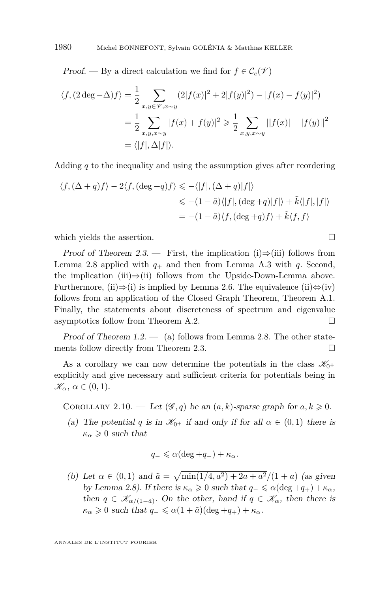<span id="page-12-0"></span>Proof. — By a direct calculation we find for  $f \in \mathcal{C}_c(\mathcal{V})$ 

$$
\langle f, (2 \deg - \Delta)f \rangle = \frac{1}{2} \sum_{x, y \in \mathcal{V}, x \sim y} (2|f(x)|^2 + 2|f(y)|^2) - |f(x) - f(y)|^2)
$$
  
= 
$$
\frac{1}{2} \sum_{x, y, x \sim y} |f(x) + f(y)|^2 \ge \frac{1}{2} \sum_{x, y, x \sim y} ||f(x)| - |f(y)||^2
$$
  
= 
$$
\langle |f|, \Delta |f| \rangle.
$$

Adding *q* to the inequality and using the assumption gives after reordering

$$
\langle f, (\Delta + q)f \rangle - 2\langle f, (\deg + q)f \rangle \leq -\langle |f|, (\Delta + q)|f| \rangle
$$
  

$$
\leq - (1 - \tilde{a})\langle |f|, (\deg + q)|f| \rangle + \tilde{k}\langle |f|, |f| \rangle
$$
  

$$
= -(1 - \tilde{a})\langle f, (\deg + q)f \rangle + \tilde{k}\langle f, f \rangle
$$

which yields the assertion.  $\Box$ 

Proof of Theorem [2.3.](#page-7-0) — First, the implication (i)⇒(iii) follows from Lemma [2.8](#page-9-0) applied with  $q_+$  and then from Lemma [A.3](#page-27-0) with  $q$ . Second, the implication (iii)⇒(ii) follows from the Upside-Down-Lemma above. Furthermore, (ii) $\Rightarrow$ (i) is implied by Lemma [2.6.](#page-8-0) The equivalence (ii) $\Leftrightarrow$ (iv) follows from an application of the Closed Graph Theorem, Theorem [A.1.](#page-26-0) Finally, the statements about discreteness of spectrum and eigenvalue asymptotics follow from Theorem [A.2.](#page-27-0)

Proof of Theorem  $1.2.$  — (a) follows from Lemma [2.8.](#page-9-0) The other state-ments follow directly from Theorem [2.3.](#page-7-0)  $\Box$ 

As a corollary we can now determine the potentials in the class  $\mathscr{K}_{0+}$ explicitly and give necessary and sufficient criteria for potentials being in  $\mathscr{K}_{\alpha}$ ,  $\alpha \in (0,1)$ .

COROLLARY 2.10. — Let  $(\mathscr{G}, q)$  be an  $(a, k)$ -sparse graph for  $a, k \geq 0$ .

(a) The potential *q* is in  $\mathcal{K}_{0+}$  if and only if for all  $\alpha \in (0,1)$  there is  $\kappa_{\alpha} \geqslant 0$  such that

$$
q_- \leq \alpha(\deg + q_+) + \kappa_\alpha.
$$

(b) Let  $\alpha \in (0,1)$  and  $\tilde{a} = \sqrt{\min(1/4, a^2) + 2a + a^2}/(1 + a)$  (as given by Lemma [2.8\)](#page-9-0). If there is  $\kappa_{\alpha} \geq 0$  such that  $q_{-} \leq \alpha(\text{deg} + q_{+}) + \kappa_{\alpha}$ , then  $q \in \mathscr{K}_{\alpha/(1-\tilde{a})}$ . On the other, hand if  $q \in \mathscr{K}_{\alpha}$ , then there is  $\kappa_{\alpha} \geq 0$  such that  $q_{-} \leq \alpha(1 + \tilde{a})(\deg + q_{+}) + \kappa_{\alpha}$ .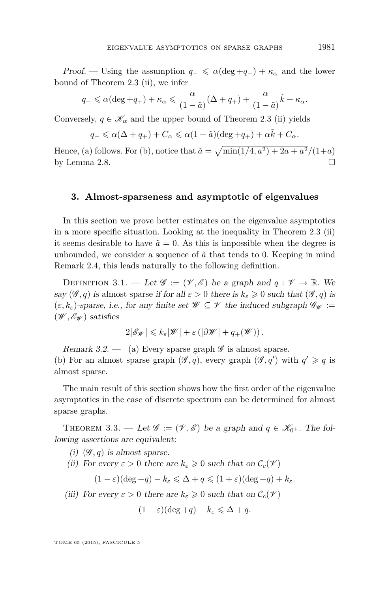<span id="page-13-0"></span>Proof. — Using the assumption  $q_-\leq \alpha(\deg+q_-)+\kappa_\alpha$  and the lower bound of Theorem [2.3](#page-7-0) (ii), we infer

$$
q_{-} \leq \alpha (\deg + q_{+}) + \kappa_{\alpha} \leq \frac{\alpha}{(1 - \tilde{a})} (\Delta + q_{+}) + \frac{\alpha}{(1 - \tilde{a})} \tilde{k} + \kappa_{\alpha}.
$$

Conversely,  $q \in \mathcal{K}_{\alpha}$  and the upper bound of Theorem [2.3](#page-7-0) (ii) yields

$$
q_- \leq \alpha(\Delta + q_+) + C_{\alpha} \leq \alpha(1 + \tilde{a})(\deg + q_+) + \alpha \tilde{k} + C_{\alpha}.
$$

Hence, (a) follows. For (b), notice that  $\tilde{a} = \sqrt{\min(1/4, a^2) + 2a + a^2}/(1+a)$ by Lemma [2.8.](#page-9-0)

#### **3. Almost-sparseness and asymptotic of eigenvalues**

In this section we prove better estimates on the eigenvalue asymptotics in a more specific situation. Looking at the inequality in Theorem [2.3](#page-7-0) (ii) it seems desirable to have  $\tilde{a} = 0$ . As this is impossible when the degree is unbounded, we consider a sequence of  $\tilde{a}$  that tends to 0. Keeping in mind Remark [2.4,](#page-7-0) this leads naturally to the following definition.

DEFINITION 3.1. — Let  $\mathscr{G} := (\mathscr{V}, \mathscr{E})$  be a graph and  $q : \mathscr{V} \to \mathbb{R}$ . We say  $(\mathscr{G}, q)$  is almost sparse if for all  $\varepsilon > 0$  there is  $k_{\varepsilon} \geq 0$  such that  $(\mathscr{G}, q)$  is  $(\varepsilon, k_{\varepsilon})$ -sparse, i.e., for any finite set  $\mathscr{W} \subseteq \mathscr{V}$  the induced subgraph  $\mathscr{G}_{\mathscr{W}} :=$  $(\mathscr{W}, \mathscr{E}_{\mathscr{W}})$  satisfies

$$
2|\mathscr{E}_{\mathscr{W}}| \leq k_{\varepsilon}|\mathscr{W}| + \varepsilon \left( |\partial \mathscr{W}| + q_+(\mathscr{W}) \right).
$$

Remark 3.2.  $\qquad$  (a) Every sparse graph  $\mathscr G$  is almost sparse. (b) For an almost sparse graph  $(\mathscr{G}, q)$ , every graph  $(\mathscr{G}, q')$  with  $q' \geq q$  is almost sparse.

The main result of this section shows how the first order of the eigenvalue asymptotics in the case of discrete spectrum can be determined for almost sparse graphs.

THEOREM 3.3. — Let  $\mathscr{G} := (\mathscr{V}, \mathscr{E})$  be a graph and  $q \in \mathscr{K}_{0^+}$ . The following assertions are equivalent:

- (i)  $(\mathscr{G}, q)$  is almost sparse.
- (ii) For every  $\varepsilon > 0$  there are  $k_{\varepsilon} \geq 0$  such that on  $\mathcal{C}_c(\mathcal{V})$

$$
(1 - \varepsilon)(\deg + q) - k_{\varepsilon} \leq \Delta + q \leq (1 + \varepsilon)(\deg + q) + k_{\varepsilon}.
$$

(iii) For every  $\varepsilon > 0$  there are  $k_{\varepsilon} \geq 0$  such that on  $\mathcal{C}_c(\mathscr{V})$ 

$$
(1 - \varepsilon)(\deg + q) - k_{\varepsilon} \leq \Delta + q.
$$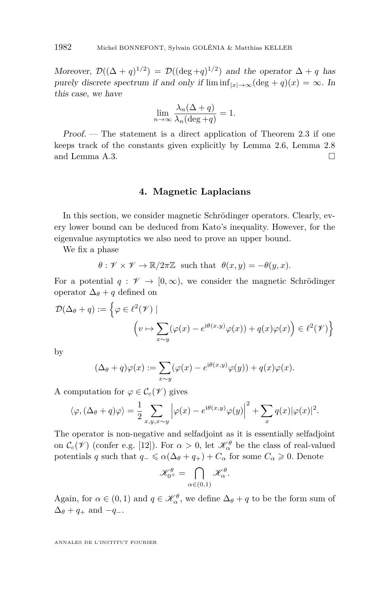<span id="page-14-0"></span>Moreover,  $\mathcal{D}((\Delta + q)^{1/2}) = \mathcal{D}((\deg + q)^{1/2})$  and the operator  $\Delta + q$  has purely discrete spectrum if and only if  $\liminf_{|x|\to\infty}(\deg + q)(x) = \infty$ . In this case, we have

$$
\lim_{n \to \infty} \frac{\lambda_n(\Delta + q)}{\lambda_n(\deg + q)} = 1.
$$

Proof. — The statement is a direct application of Theorem [2.3](#page-7-0) if one keeps track of the constants given explicitly by Lemma [2.6,](#page-8-0) Lemma [2.8](#page-9-0) and Lemma [A.3.](#page-27-0)

#### **4. Magnetic Laplacians**

In this section, we consider magnetic Schrödinger operators. Clearly, every lower bound can be deduced from Kato's inequality. However, for the eigenvalue asymptotics we also need to prove an upper bound.

We fix a phase

 $\theta$  :  $\mathscr{V} \times \mathscr{V} \to \mathbb{R}/2\pi\mathbb{Z}$  such that  $\theta(x, y) = -\theta(y, x)$ .

For a potential  $q: \mathscr{V} \to [0,\infty)$ , we consider the magnetic Schrödinger operator  $\Delta_{\theta} + q$  defined on

$$
\mathcal{D}(\Delta_{\theta} + q) := \left\{ \varphi \in \ell^{2}(\mathcal{V}) \mid \left( v \mapsto \sum_{x \sim y} (\varphi(x) - e^{i\theta(x,y)}\varphi(x)) + q(x)\varphi(x) \right) \in \ell^{2}(\mathcal{V}) \right\}
$$

by

$$
(\Delta_{\theta} + q)\varphi(x) := \sum_{x \sim y} (\varphi(x) - e^{i\theta(x,y)}\varphi(y)) + q(x)\varphi(x).
$$

A computation for  $\varphi \in \mathcal{C}_c(\mathcal{V})$  gives

$$
\langle \varphi, (\Delta_{\theta} + q) \varphi \rangle = \frac{1}{2} \sum_{x, y, x \sim y} \left| \varphi(x) - e^{i\theta(x, y)} \varphi(y) \right|^2 + \sum_{x} q(x) |\varphi(x)|^2.
$$

The operator is non-negative and selfadjoint as it is essentially selfadjoint on  $C_c(\mathcal{V})$  (confer e.g. [\[12\]](#page-29-0)). For  $\alpha > 0$ , let  $\mathcal{K}^{\theta}_{\alpha}$  be the class of real-valued potentials *q* such that  $q_-\leq \alpha(\Delta_\theta+q_+) + C_\alpha$  for some  $C_\alpha \geq 0$ . Denote

$$
\mathscr{K}_{0^+}^{\theta}=\bigcap_{\alpha\in(0,1)}\mathscr{K}_{\alpha}^{\theta}.
$$

Again, for  $\alpha \in (0,1)$  and  $q \in \mathcal{K}_{\alpha}^{\theta}$ , we define  $\Delta_{\theta} + q$  to be the form sum of  $\Delta_{\theta} + q_{+}$  and  $-q_{-}$ .

ANNALES DE L'INSTITUT FOURIER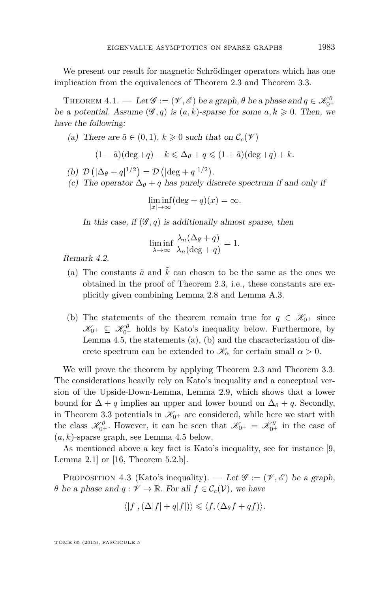<span id="page-15-0"></span>We present our result for magnetic Schrödinger operators which has one implication from the equivalences of Theorem [2.3](#page-7-0) and Theorem [3.3.](#page-13-0)

THEOREM  $4.1.$  — Let  $\mathscr{G} := (\mathscr{V}, \mathscr{E})$  be a graph,  $\theta$  be a phase and  $q \in \mathscr{K}_{0^+}^{\theta}$ be a potential. Assume  $(\mathscr{G}, q)$  is  $(a, k)$ -sparse for some  $a, k \geq 0$ . Then, we have the following:

(a) There are  $\tilde{a} \in (0,1)$ ,  $k \geq 0$  such that on  $\mathcal{C}_c(\mathcal{V})$ 

$$
(1-\tilde{a})(\deg +q)-k\leqslant \Delta_\theta+q\leqslant (1+\tilde{a})(\deg +q)+k.
$$

- (b)  $\mathcal{D}(|\Delta_{\theta} + q|^{1/2}) = \mathcal{D}(|\text{deg} + q|^{1/2}).$
- (c) The operator  $\Delta_{\theta} + q$  has purely discrete spectrum if and only if

$$
\liminf_{|x| \to \infty} (\deg + q)(x) = \infty.
$$

In this case, if  $(\mathscr{G}, q)$  is additionally almost sparse, then

$$
\liminf_{\lambda \to \infty} \frac{\lambda_n(\Delta_{\theta} + q)}{\lambda_n(\text{deg} + q)} = 1.
$$

Remark 4.2.

- (a) The constants  $\tilde{a}$  and  $\tilde{k}$  can chosen to be the same as the ones we obtained in the proof of Theorem [2.3,](#page-7-0) i.e., these constants are explicitly given combining Lemma [2.8](#page-9-0) and Lemma [A.3.](#page-27-0)
- (b) The statements of the theorem remain true for  $q \in \mathcal{K}_{0^+}$  since  $\mathscr{K}_{0^+} \subseteq \mathscr{K}_{0^+}^{\theta}$  holds by Kato's inequality below. Furthermore, by Lemma [4.5,](#page-16-0) the statements (a), (b) and the characterization of discrete spectrum can be extended to  $\mathcal{K}_{\alpha}$  for certain small  $\alpha > 0$ .

We will prove the theorem by applying Theorem [2.3](#page-7-0) and Theorem [3.3.](#page-13-0) The considerations heavily rely on Kato's inequality and a conceptual version of the Upside-Down-Lemma, Lemma [2.9,](#page-11-0) which shows that a lower bound for  $\Delta$  + *q* implies an upper and lower bound on  $\Delta$ *θ* + *q*. Secondly, in Theorem [3.3](#page-13-0) potentials in  $\mathcal{K}_{0+}$  are considered, while here we start with the class  $\mathscr{K}_{0^+}^{\theta}$ . However, it can be seen that  $\mathscr{K}_{0^+} = \mathscr{K}_{0^+}^{\theta}$  in the case of  $(a, k)$ -sparse graph, see Lemma [4.5](#page-16-0) below.

As mentioned above a key fact is Kato's inequality, see for instance [\[9,](#page-28-0) Lemma 2.1] or [\[16,](#page-29-0) Theorem 5.2.b].

PROPOSITION 4.3 (Kato's inequality). — Let  $\mathscr{G} := (\mathscr{V}, \mathscr{E})$  be a graph, *θ* be a phase and  $q: \mathcal{V} \to \mathbb{R}$ . For all  $f \in \mathcal{C}_c(\mathcal{V})$ , we have

$$
\langle |f|, (\Delta |f| + q|f|) \rangle \le \langle f, (\Delta_{\theta} f + qf) \rangle.
$$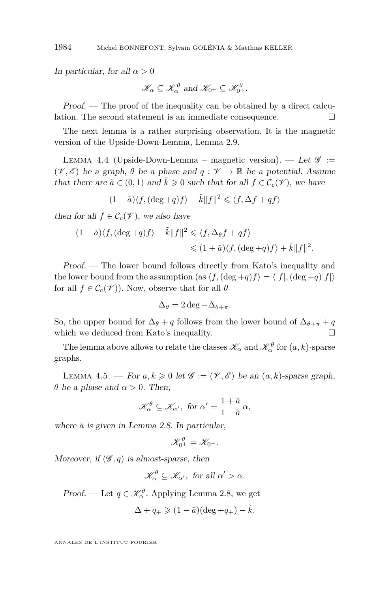In particular, for all  $\alpha > 0$ 

$$
\mathscr{K}_{\alpha} \subseteq \mathscr{K}_{\alpha}^{\theta} \text{ and } \mathscr{K}_{0^+} \subseteq \mathscr{K}_{0^+}^{\theta}.
$$

Proof. — The proof of the inequality can be obtained by a direct calculation. The second statement is an immediate consequence.  $\Box$ 

The next lemma is a rather surprising observation. It is the magnetic version of the Upside-Down-Lemma, Lemma [2.9.](#page-11-0)

LEMMA 4.4 (Upside-Down-Lemma – magnetic version). — Let  $\mathscr{G}$  :=  $(\mathscr{V}, \mathscr{E})$  be a graph,  $\theta$  be a phase and  $q : \mathscr{V} \to \mathbb{R}$  be a potential. Assume that there are  $\tilde{a} \in (0,1)$  and  $\tilde{k} \geq 0$  such that for all  $f \in \mathcal{C}_c(\mathcal{V})$ , we have

$$
(1 - \tilde{a}) \langle f, (\deg + q)f \rangle - \tilde{k} ||f||^2 \leq \langle f, \Delta f + qf \rangle
$$

then for all  $f \in \mathcal{C}_c(\mathcal{V})$ , we also have

$$
(1 - \tilde{a})\langle f, (\deg + q)f \rangle - \tilde{k}||f||^2 \leq \langle f, \Delta_{\theta} f + qf \rangle
$$
  

$$
\leq (1 + \tilde{a})\langle f, (\deg + q)f \rangle + \tilde{k}||f||^2.
$$

Proof. — The lower bound follows directly from Kato's inequality and the lower bound from the assumption (as  $\langle f, (\deg + q)f \rangle = \langle |f|, (\deg + q)|f| \rangle$ for all  $f \in \mathcal{C}_c(\mathcal{V})$ . Now, observe that for all  $\theta$ 

$$
\Delta_{\theta} = 2 \deg - \Delta_{\theta + \pi}.
$$

So, the upper bound for  $\Delta_{\theta} + q$  follows from the lower bound of  $\Delta_{\theta+\pi} + q$ which we deduced from Kato's inequality.  $\hfill \Box$ 

The lemma above allows to relate the classes  $\mathscr{K}_{\alpha}$  and  $\mathscr{K}_{\alpha}^{\theta}$  for  $(a, k)$ -sparse graphs.

LEMMA 4.5. — For  $a, k \geq 0$  let  $\mathscr{G} := (\mathscr{V}, \mathscr{E})$  be an  $(a, k)$ -sparse graph, *θ* be a phase and  $\alpha > 0$ . Then,

$$
\mathscr{K}_{\alpha}^{\theta} \subseteq \mathscr{K}_{\alpha'}, \text{ for } \alpha' = \frac{1+\tilde{a}}{1-\tilde{a}} \alpha,
$$

where  $\tilde{a}$  is given in Lemma [2.8.](#page-9-0) In particular,

$$
\mathscr{K}^{\theta}_{0^+}=\mathscr{K}_{0^+}.
$$

Moreover, if  $(\mathscr{G}, q)$  is almost-sparse, then

$$
\mathscr{K}_{\alpha}^{\theta} \subseteq \mathscr{K}_{\alpha'}, \text{ for all } \alpha' > \alpha.
$$

Proof. — Let  $q \in \mathcal{K}_{\alpha}^{\theta}$ . Applying Lemma [2.8,](#page-9-0) we get

$$
\Delta + q_+ \geqslant (1 - \tilde{a})(\deg + q_+) - \tilde{k}.
$$

ANNALES DE L'INSTITUT FOURIER

<span id="page-16-0"></span>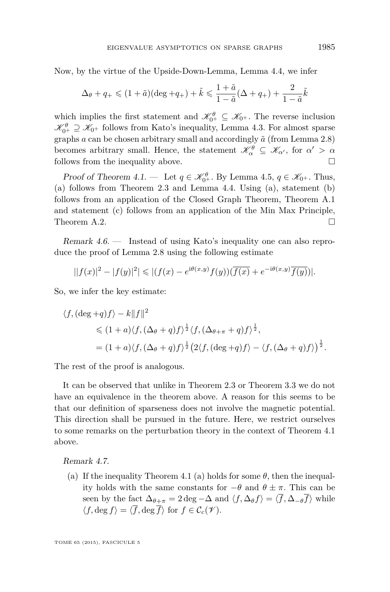Now, by the virtue of the Upside-Down-Lemma, Lemma [4.4,](#page-16-0) we infer

$$
\Delta_{\theta} + q_+ \leq (1 + \tilde{a})(\deg + q_+) + \tilde{k} \leq \frac{1 + \tilde{a}}{1 - \tilde{a}}(\Delta + q_+) + \frac{2}{1 - \tilde{a}}\tilde{k}
$$

which implies the first statement and  $\mathscr{K}_{0^+}^{\theta} \subseteq \mathscr{K}_{0^+}$ . The reverse inclusion  $\mathscr{K}_{0^+}^{\theta} \supseteq \mathscr{K}_{0^+}$  follows from Kato's inequality, Lemma [4.3.](#page-15-0) For almost sparse graphs  $a$  can be chosen arbitrary small and accordingly  $\tilde{a}$  (from Lemma [2.8\)](#page-9-0) becomes arbitrary small. Hence, the statement  $\mathscr{K}_{\alpha}^{\theta} \subseteq \mathscr{K}_{\alpha'}$ , for  $\alpha' > \alpha$ follows from the inequality above.  $\Box$ 

Proof of Theorem [4.1.](#page-15-0) — Let  $q \in \mathcal{K}_{0+}^{\theta}$ . By Lemma [4.5,](#page-16-0)  $q \in \mathcal{K}_{0+}$ . Thus, (a) follows from Theorem [2.3](#page-7-0) and Lemma [4.4.](#page-16-0) Using (a), statement (b) follows from an application of the Closed Graph Theorem, Theorem [A.1](#page-26-0) and statement (c) follows from an application of the Min Max Principle, Theorem [A.2.](#page-27-0)  $\Box$ 

Remark 4.6. — Instead of using Kato's inequality one can also reproduce the proof of Lemma [2.8](#page-9-0) using the following estimate

$$
||f(x)|^{2} - |f(y)|^{2}| \le |(f(x) - e^{i\theta(x,y)}f(y))(\overline{f(x)} + e^{-i\theta(x,y)}\overline{f(y)})|.
$$

So, we infer the key estimate:

$$
\langle f, (\deg + q) f \rangle - k ||f||^2
$$
  
\$\leq (1 + a) \langle f, (\Delta\_{\theta} + q) f \rangle^{\frac{1}{2}} \langle f, (\Delta\_{\theta + \pi} + q) f \rangle^{\frac{1}{2}},\$  
= (1 + a) \langle f, (\Delta\_{\theta} + q) f \rangle^{\frac{1}{2}} (2 \langle f, (\deg + q) f \rangle - \langle f, (\Delta\_{\theta} + q) f \rangle)^{\frac{1}{2}}.\$

The rest of the proof is analogous.

It can be observed that unlike in Theorem [2.3](#page-7-0) or Theorem [3.3](#page-13-0) we do not have an equivalence in the theorem above. A reason for this seems to be that our definition of sparseness does not involve the magnetic potential. This direction shall be pursued in the future. Here, we restrict ourselves to some remarks on the perturbation theory in the context of Theorem [4.1](#page-15-0) above.

Remark 4.7.

(a) If the inequality Theorem [4.1](#page-15-0) (a) holds for some  $\theta$ , then the inequality holds with the same constants for −*θ* and *θ* ± *π*. This can be seen by the fact  $\Delta_{\theta+\pi} = 2 \text{ deg } -\Delta$  and  $\langle f, \Delta_{\theta} f \rangle = \langle \overline{f}, \Delta_{-\theta} \overline{f} \rangle$  while  $\langle f, \deg f \rangle = \langle \overline{f}, \deg \overline{f} \rangle$  for  $f \in \mathcal{C}_c(\mathscr{V})$ .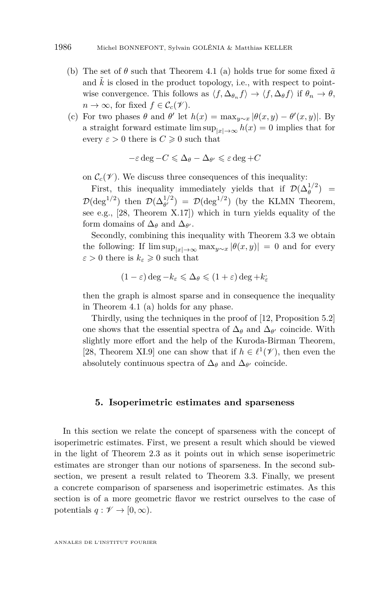- <span id="page-18-0"></span>(b) The set of  $\theta$  such that Theorem [4.1](#page-15-0) (a) holds true for some fixed  $\tilde{a}$ and  $\tilde{k}$  is closed in the product topology, i.e., with respect to pointwise convergence. This follows as  $\langle f, \Delta_{\theta_n} f \rangle \to \langle f, \Delta_{\theta} f \rangle$  if  $\theta_n \to \theta$ ,  $n \to \infty$ , for fixed  $f \in \mathcal{C}_c(\mathcal{V})$ .
- (c) For two phases  $\theta$  and  $\theta'$  let  $h(x) = \max_{y \sim x} |\theta(x, y) \theta'(x, y)|$ . By a straight forward estimate  $\limsup_{|x| \to \infty} h(x) = 0$  implies that for every  $\varepsilon > 0$  there is  $C \geq 0$  such that

$$
-\varepsilon \deg - C \leq \Delta_{\theta} - \Delta_{\theta'} \leq \varepsilon \deg + C
$$

on  $\mathcal{C}_c(\mathcal{V})$ . We discuss three consequences of this inequality:

First, this inequality immediately yields that if  $\mathcal{D}(\Delta_\theta^{1/2})$  =  $\mathcal{D}(\deg^{1/2})$  then  $\mathcal{D}(\Delta_{\theta'}^{1/2}) = \mathcal{D}(\deg^{1/2})$  (by the KLMN Theorem, see e.g., [\[28,](#page-29-0) Theorem X.17]) which in turn yields equality of the form domains of  $\Delta_{\theta}$  and  $\Delta_{\theta'}$ .

Secondly, combining this inequality with Theorem [3.3](#page-13-0) we obtain the following: If  $\limsup_{|x| \to \infty} \max_{y \sim x} |\theta(x, y)| = 0$  and for every  $\varepsilon > 0$  there is  $k_{\varepsilon} \geqslant 0$  such that

$$
(1-\varepsilon)\deg - k_{\varepsilon} \leqslant \Delta_{\theta} \leqslant (1+\varepsilon)\deg + k_{\varepsilon}^*
$$

then the graph is almost sparse and in consequence the inequality in Theorem [4.1](#page-15-0) (a) holds for any phase.

Thirdly, using the techniques in the proof of [\[12,](#page-29-0) Proposition 5.2] one shows that the essential spectra of  $\Delta_{\theta}$  and  $\Delta_{\theta'}$  coincide. With slightly more effort and the help of the Kuroda-Birman Theorem, [\[28,](#page-29-0) Theorem XI.9] one can show that if  $h \in \ell^1(\mathcal{V})$ , then even the absolutely continuous spectra of  $\Delta_{\theta}$  and  $\Delta_{\theta'}$  coincide.

#### **5. Isoperimetric estimates and sparseness**

In this section we relate the concept of sparseness with the concept of isoperimetric estimates. First, we present a result which should be viewed in the light of Theorem [2.3](#page-7-0) as it points out in which sense isoperimetric estimates are stronger than our notions of sparseness. In the second subsection, we present a result related to Theorem [3.3.](#page-13-0) Finally, we present a concrete comparison of sparseness and isoperimetric estimates. As this section is of a more geometric flavor we restrict ourselves to the case of potentials  $q: \mathscr{V} \to [0, \infty)$ .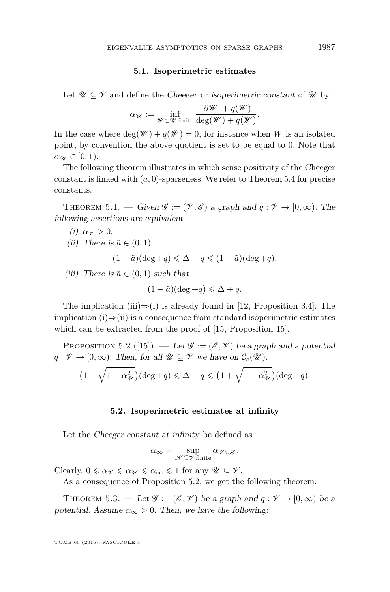#### **5.1. Isoperimetric estimates**

<span id="page-19-0"></span>Let  $\mathscr{U} \subseteq \mathscr{V}$  and define the Cheeger or isoperimetric constant of  $\mathscr{U}$  by

$$
\alpha_{\mathscr{U}} := \inf_{\mathscr{W} \subset \mathscr{U} \text{ finite}} \frac{|\partial \mathscr{W}| + q(\mathscr{W})}{\deg(\mathscr{W}) + q(\mathscr{W})}.
$$

In the case where  $\deg(\mathscr{W}) + q(\mathscr{W}) = 0$ , for instance when *W* is an isolated point, by convention the above quotient is set to be equal to 0, Note that  $\alpha_{\mathscr{U}} \in [0,1)$ .

The following theorem illustrates in which sense positivity of the Cheeger constant is linked with (*a,* 0)-sparseness. We refer to Theorem [5.4](#page-20-0) for precise constants.

THEOREM 5.1. — Given  $\mathscr{G} := (\mathscr{V}, \mathscr{E})$  a graph and  $q : \mathscr{V} \to [0, \infty)$ . The following assertions are equivalent

(i) 
$$
\alpha \gamma > 0
$$
.  
\n(ii) There is  $\tilde{a} \in (0, 1)$   
\n $(1 - \tilde{a})(\deg + q) \leq \Delta + q \leq (1 + \tilde{a})(\deg + q)$ .

(iii) There is  $\tilde{a} \in (0,1)$  such that

$$
(1 - \tilde{a})(\deg + q) \leq \Delta + q.
$$

The implication (iii) $\Rightarrow$ (i) is already found in [\[12,](#page-29-0) Proposition 3.4]. The implication  $(i) \Rightarrow (ii)$  is a consequence from standard isoperimetric estimates which can be extracted from the proof of [\[15,](#page-29-0) Proposition 15].

PROPOSITION 5.2 ([\[15\]](#page-29-0)). — Let  $\mathscr{G} := (\mathscr{E}, \mathscr{V})$  be a graph and a potential  $q: \mathscr{V} \to [0, \infty)$ . Then, for all  $\mathscr{U} \subseteq \mathscr{V}$  we have on  $\mathcal{C}_c(\mathscr{U})$ .

$$
(1 - \sqrt{1 - \alpha_{\mathcal{U}}^2}) (\deg + q) \leq \Delta + q \leq (1 + \sqrt{1 - \alpha_{\mathcal{U}}^2}) (\deg + q).
$$

#### **5.2. Isoperimetric estimates at infinity**

Let the Cheeger constant at infinity be defined as

$$
\alpha_\infty = \sup_{\mathscr{K} \subseteq \mathscr{V} \, \text{finite}} \alpha_{\mathscr{V} \backslash \mathscr{K}}.
$$

Clearly,  $0 \le \alpha_{\mathscr{V}} \le \alpha_{\mathscr{U}} \le \alpha_{\infty} \le 1$  for any  $\mathscr{U} \subseteq \mathscr{V}$ .

As a consequence of Proposition 5.2, we get the following theorem.

THEOREM 5.3. — Let  $\mathscr{G} := (\mathscr{E}, \mathscr{V})$  be a graph and  $q : \mathscr{V} \to [0, \infty)$  be a potential. Assume  $\alpha_{\infty} > 0$ . Then, we have the following: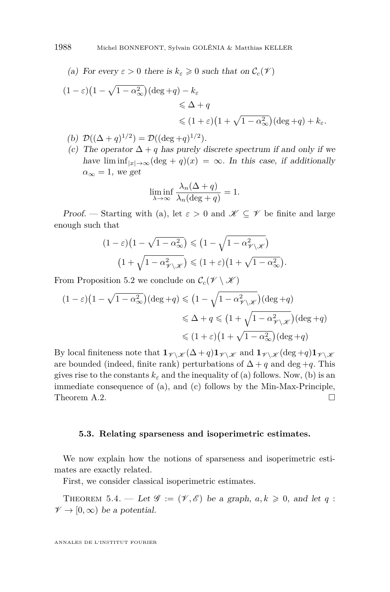<span id="page-20-0"></span>(a) For every 
$$
\varepsilon > 0
$$
 there is  $k_{\varepsilon} \geq 0$  such that on  $\mathcal{C}_c(\mathcal{V})$ 

$$
(1 - \varepsilon)(1 - \sqrt{1 - \alpha_{\infty}^2})(\deg + q) - k_{\varepsilon}
$$
  
\$\leq \Delta + q\$  
\$\leq (1 + \varepsilon)(1 + \sqrt{1 - \alpha\_{\infty}^2})(\deg + q) + k\_{\varepsilon}\$.

- (b)  $\mathcal{D}((\Delta + q)^{1/2}) = \mathcal{D}((\deg + q)^{1/2}).$
- (c) The operator  $\Delta + q$  has purely discrete spectrum if and only if we have  $\liminf_{|x|\to\infty}(\deg + q)(x) = \infty$ . In this case, if additionally  $\alpha_{\infty} = 1$ , we get

$$
\liminf_{\lambda \to \infty} \frac{\lambda_n(\Delta + q)}{\lambda_n(\text{deg} + q)} = 1.
$$

Proof. — Starting with (a), let  $\varepsilon > 0$  and  $\mathscr{K} \subseteq \mathscr{V}$  be finite and large enough such that

$$
(1 - \varepsilon)(1 - \sqrt{1 - \alpha_{\infty}^2}) \leq (1 - \sqrt{1 - \alpha_{\mathscr{V} \setminus \mathscr{K}}^2})
$$

$$
(1 + \sqrt{1 - \alpha_{\mathscr{V} \setminus \mathscr{K}}^2}) \leq (1 + \varepsilon)(1 + \sqrt{1 - \alpha_{\infty}^2}).
$$

From Proposition [5.2](#page-19-0) we conclude on  $\mathcal{C}_c(\mathscr{V}\setminus\mathscr{K})$ 

$$
(1 - \varepsilon)(1 - \sqrt{1 - \alpha_{\infty}^2})(\deg + q) \leq (1 - \sqrt{1 - \alpha_{\mathscr{V}\setminus\mathscr{K}}^2})(\deg + q)
$$
  

$$
\leq \Delta + q \leq (1 + \sqrt{1 - \alpha_{\mathscr{V}\setminus\mathscr{K}}^2})(\deg + q)
$$
  

$$
\leq (1 + \varepsilon)(1 + \sqrt{1 - \alpha_{\infty}^2})(\deg + q)
$$

By local finiteness note that  $\mathbf{1}_{\mathscr{V}\setminus\mathscr{K}}(\Delta+q)\mathbf{1}_{\mathscr{V}\setminus\mathscr{K}}$  and  $\mathbf{1}_{\mathscr{V}\setminus\mathscr{K}}(\deg+q)\mathbf{1}_{\mathscr{V}\setminus\mathscr{K}}$ are bounded (indeed, finite rank) perturbations of  $\Delta + q$  and deg +*q*. This gives rise to the constants  $k_{\varepsilon}$  and the inequality of (a) follows. Now, (b) is an immediate consequence of (a), and (c) follows by the Min-Max-Principle, Theorem [A.2.](#page-27-0)  $\Box$ 

#### **5.3. Relating sparseness and isoperimetric estimates.**

We now explain how the notions of sparseness and isoperimetric estimates are exactly related.

First, we consider classical isoperimetric estimates.

THEOREM 5.4. — Let  $\mathscr{G} := (\mathscr{V}, \mathscr{E})$  be a graph,  $a, k \geq 0$ , and let  $q$ :  $\mathscr{V} \to [0,\infty)$  be a potential.

ANNALES DE L'INSTITUT FOURIER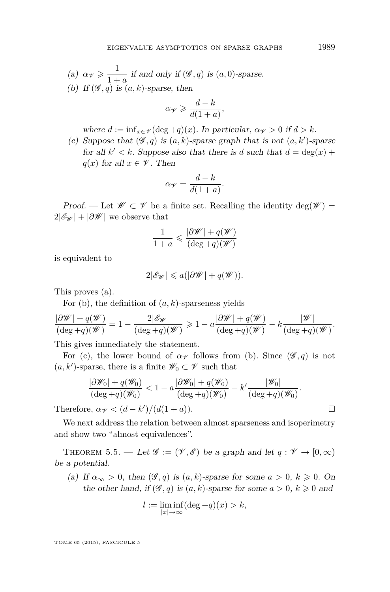<span id="page-21-0"></span>(a)  $\alpha_{\mathscr{V}} \geqslant \frac{1}{1+1}$  $\frac{1}{1+a}$  if and only if  $(\mathscr{G}, q)$  is  $(a, 0)$ -sparse. (b) If  $(\mathscr{G}, q)$  is  $(a, k)$ -sparse, then

$$
\alpha_{\mathscr{V}} \geqslant \frac{d-k}{d(1+a)},
$$

where  $d := \inf_{x \in \mathcal{V}} (\deg + q)(x)$ . In particular,  $\alpha_{\mathcal{V}} > 0$  if  $d > k$ .

(c) Suppose that  $(\mathscr{G}, q)$  is  $(a, k)$ -sparse graph that is not  $(a, k')$ -sparse for all  $k' < k$ . Suppose also that there is *d* such that  $d = \deg(x)$  + *q*(*x*) for all  $x \in \mathcal{V}$ . Then

$$
\alpha_{\mathscr{V}} = \frac{d-k}{d(1+a)}.
$$

Proof. — Let  $\mathscr{W} \subset \mathscr{V}$  be a finite set. Recalling the identity  $\deg(\mathscr{W}) =$  $2|\mathscr{E}_{\mathscr{W}}| + |\partial \mathscr{W}|$  we observe that

$$
\frac{1}{1+a} \leqslant \frac{|\partial \mathscr{W}| + q(\mathscr{W})}{(\deg + q)(\mathscr{W})}
$$

is equivalent to

$$
2|\mathscr{E}_{\mathscr{W}}| \leqslant a(|\partial \mathscr{W}| + q(\mathscr{W})).
$$

This proves (a).

For (b), the definition of (*a, k*)-sparseness yields

$$
\frac{|\partial \mathscr{W}| + q(\mathscr{W})}{(\deg + q)(\mathscr{W})} = 1 - \frac{2|\mathscr{E}_{\mathscr{W}}|}{(\deg + q)(\mathscr{W})} \geq 1 - a \frac{|\partial \mathscr{W}| + q(\mathscr{W})}{(\deg + q)(\mathscr{W})} - k \frac{|\mathscr{W}|}{(\deg + q)(\mathscr{W})}.
$$

This gives immediately the statement.

For (c), the lower bound of  $\alpha_Y$  follows from (b). Since  $(\mathscr{G}, q)$  is not  $(a, k')$ -sparse, there is a finite  $\mathscr{W}_0 \subset \mathscr{V}$  such that

$$
\frac{|\partial \mathscr{W}_0| + q(\mathscr{W}_0)}{(\deg + q)(\mathscr{W}_0)} < 1 - a \frac{|\partial \mathscr{W}_0| + q(\mathscr{W}_0)}{(\deg + q)(\mathscr{W}_0)} - k' \frac{|\mathscr{W}_0|}{(\deg + q)(\mathscr{W}_0)}.
$$

Therefore,  $\alpha_{\mathscr{V}} < (d - k')/(d(1 + a)).$ 

We next address the relation between almost sparseness and isoperimetry and show two "almost equivalences".

THEOREM 5.5. — Let  $\mathscr{G} := (\mathscr{V}, \mathscr{E})$  be a graph and let  $q : \mathscr{V} \to [0, \infty)$ be a potential.

(a) If  $\alpha_{\infty} > 0$ , then  $(\mathscr{G}, q)$  is  $(a, k)$ -sparse for some  $a > 0$ ,  $k \geq 0$ . On the other hand, if  $(\mathscr{G}, q)$  is  $(a, k)$ -sparse for some  $a > 0$ ,  $k \geq 0$  and

$$
l := \liminf_{|x| \to \infty} (\deg + q)(x) > k,
$$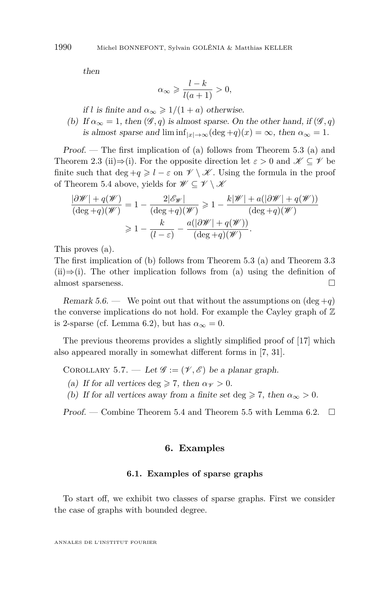<span id="page-22-0"></span>then

$$
\alpha_{\infty} \geqslant \frac{l-k}{l(a+1)} > 0,
$$

if *l* is finite and  $\alpha_{\infty} \geq 1/(1+a)$  otherwise.

(b) If  $\alpha_{\infty} = 1$ , then  $(\mathscr{G}, q)$  is almost sparse. On the other hand, if  $(\mathscr{G}, q)$ is almost sparse and  $\liminf_{|x|\to\infty}(\deg+q)(x) = \infty$ , then  $\alpha_{\infty} = 1$ .

Proof. — The first implication of (a) follows from Theorem [5.3](#page-19-0) (a) and Theorem [2.3](#page-7-0) (ii) $\Rightarrow$ (i). For the opposite direction let  $\varepsilon > 0$  and  $\mathscr{K} \subseteq \mathscr{V}$  be finite such that deg  $+q \geq l - \varepsilon$  on  $\mathscr{V} \setminus \mathscr{K}$ . Using the formula in the proof of Theorem [5.4](#page-20-0) above, yields for  $\mathscr{W} \subseteq \mathscr{V} \setminus \mathscr{K}$ 

$$
\frac{|\partial \mathscr{W}| + q(\mathscr{W})}{(\deg + q)(\mathscr{W})} = 1 - \frac{2|\mathscr{E}_{\mathscr{W}}|}{(\deg + q)(\mathscr{W})} \ge 1 - \frac{k|\mathscr{W}| + a(|\partial \mathscr{W}| + q(\mathscr{W}))}{(\deg + q)(\mathscr{W})}
$$

$$
\ge 1 - \frac{k}{(l - \varepsilon)} - \frac{a(|\partial \mathscr{W}| + q(\mathscr{W}))}{(\deg + q)(\mathscr{W})}.
$$

This proves (a).

The first implication of (b) follows from Theorem [5.3](#page-19-0) (a) and Theorem [3.3](#page-13-0)  $(ii) \Rightarrow (i)$ . The other implication follows from (a) using the definition of almost sparseness.

Remark 5.6. — We point out that without the assumptions on  $(\text{deg} + q)$ the converse implications do not hold. For example the Cayley graph of  $\mathbb Z$ is 2-sparse (cf. Lemma [6.2\)](#page-23-0), but has  $\alpha_{\infty} = 0$ .

The previous theorems provides a slightly simplified proof of [\[17\]](#page-29-0) which also appeared morally in somewhat different forms in [\[7,](#page-28-0) [31\]](#page-29-0).

COROLLARY 5.7. — Let  $\mathscr{G} := (\mathscr{V}, \mathscr{E})$  be a planar graph.

- (a) If for all vertices deg  $\geq 7$ , then  $\alpha \nu > 0$ .
- (b) If for all vertices away from a finite set deg  $\geq 7$ , then  $\alpha_{\infty} > 0$ .

Proof. — Combine Theorem [5.4](#page-20-0) and Theorem [5.5](#page-21-0) with Lemma [6.2.](#page-23-0)  $\Box$ 

#### **6. Examples**

#### **6.1. Examples of sparse graphs**

To start off, we exhibit two classes of sparse graphs. First we consider the case of graphs with bounded degree.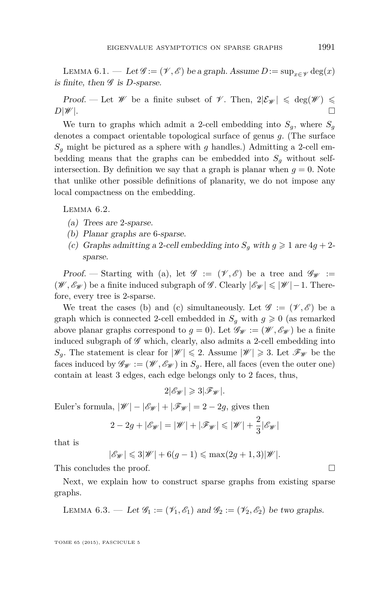<span id="page-23-0"></span>LEMMA 6.1. — Let  $\mathscr{G} := (\mathscr{V}, \mathscr{E})$  be a graph. Assume  $D := \sup_{x \in \mathscr{V}} \deg(x)$ is finite, then  $\mathscr G$  is *D*-sparse.

Proof. — Let W be a finite subset of V. Then,  $2|\mathcal{E}_{\mathscr{W}}| \leq \deg(\mathscr{W}) \leq$  $D|\mathscr{W}|$ .

We turn to graphs which admit a 2-cell embedding into  $S_q$ , where  $S_q$ denotes a compact orientable topological surface of genus *g*. (The surface  $S_q$  might be pictured as a sphere with *g* handles.) Admitting a 2-cell embedding means that the graphs can be embedded into  $S_q$  without selfintersection. By definition we say that a graph is planar when  $g = 0$ . Note that unlike other possible definitions of planarity, we do not impose any local compactness on the embedding.

LEMMA  $6.2$ .

- (a) Trees are 2-sparse.
- (b) Planar graphs are 6-sparse.
- (c) Graphs admitting a 2-cell embedding into  $S<sub>q</sub>$  with  $q \geq 1$  are  $4q + 2$ sparse.

Proof. — Starting with (a), let  $\mathscr{G} := (\mathscr{V}, \mathscr{E})$  be a tree and  $\mathscr{G}_{\mathscr{W}} :=$ (*W*,  $\mathcal{E}_{\mathcal{W}}$ ) be a finite induced subgraph of  $\mathcal{G}$ . Clearly  $|\mathcal{E}_{\mathcal{W}}| \leq |\mathcal{W}| - 1$ . Therefore, every tree is 2-sparse.

We treat the cases (b) and (c) simultaneously. Let  $\mathscr{G} := (\mathscr{V}, \mathscr{E})$  be a graph which is connected 2-cell embedded in  $S_q$  with  $q \geq 0$  (as remarked above planar graphs correspond to  $g = 0$ ). Let  $\mathscr{G}_{\mathscr{W}} := (\mathscr{W}, \mathscr{E}_{\mathscr{W}})$  be a finite induced subgraph of  $\mathscr G$  which, clearly, also admits a 2-cell embedding into  $S_q$ . The statement is clear for  $|\mathscr{W}| \leq 2$ . Assume  $|\mathscr{W}| \geq 3$ . Let  $\mathscr{F}_{\mathscr{W}}$  be the faces induced by  $\mathscr{G}_{\mathscr{W}} := (\mathscr{W}, \mathscr{E}_{\mathscr{W}})$  in  $S_q$ . Here, all faces (even the outer one) contain at least 3 edges, each edge belongs only to 2 faces, thus,

 $2|\mathscr{E}_W| \geq 3|\mathscr{F}_W|$ .

Euler's formula,  $|\mathscr{W}| - |\mathscr{E}_{\mathscr{W}}| + |\mathscr{F}_{\mathscr{W}}| = 2 - 2g$ , gives then

$$
2 - 2g + |\mathscr{E}_{\mathscr{W}}| = |\mathscr{W}| + |\mathscr{F}_{\mathscr{W}}| \leq |\mathscr{W}| + \frac{2}{3} |\mathscr{E}_{\mathscr{W}}|
$$

that is

$$
|\mathscr{E}_{\mathscr{W}}| \leqslant 3|\mathscr{W}| + 6(g-1) \leqslant \max(2g+1,3)|\mathscr{W}|.
$$

This concludes the proof.

Next, we explain how to construct sparse graphs from existing sparse graphs.

LEMMA 6.3. — Let  $\mathscr{G}_1 := (\mathscr{V}_1, \mathscr{E}_1)$  and  $\mathscr{G}_2 := (\mathscr{V}_2, \mathscr{E}_2)$  be two graphs.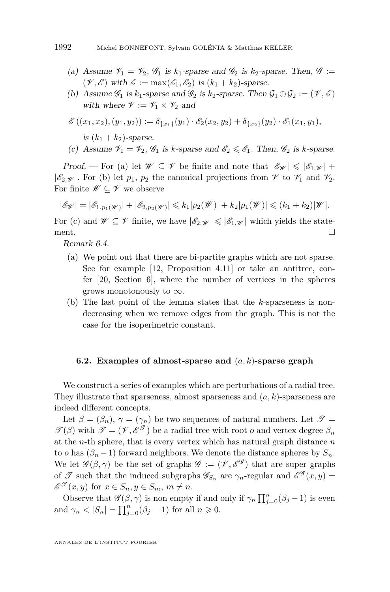- (a) Assume  $\mathcal{V}_1 = \mathcal{V}_2$ ,  $\mathcal{G}_1$  is  $k_1$ -sparse and  $\mathcal{G}_2$  is  $k_2$ -sparse. Then,  $\mathcal{G} :=$  $(\mathscr{V}, \mathscr{E})$  with  $\mathscr{E} := \max(\mathscr{E}_1, \mathscr{E}_2)$  is  $(k_1 + k_2)$ -sparse.
- (b) Assume  $\mathscr{G}_1$  is  $k_1$ -sparse and  $\mathscr{G}_2$  is  $k_2$ -sparse. Then  $\mathcal{G}_1 \oplus \mathcal{G}_2 := (\mathscr{V}, \mathscr{E})$ with where  $\mathscr{V} := \mathscr{V}_1 \times \mathscr{V}_2$  and

$$
\mathscr{E}\left((x_1,x_2),(y_1,y_2)\right):=\delta_{\{x_1\}}(y_1)\cdot \mathscr{E}_2(x_2,y_2)+\delta_{\{x_2\}}(y_2)\cdot \mathscr{E}_1(x_1,y_1),
$$

is  $(k_1 + k_2)$ -sparse.

(c) Assume 
$$
\mathcal{V}_1 = \mathcal{V}_2
$$
,  $\mathcal{G}_1$  is k-sparse and  $\mathcal{E}_2 \leq \mathcal{E}_1$ . Then,  $\mathcal{G}_2$  is k-sparse.

Proof. — For (a) let  $\mathscr{W} \subseteq \mathscr{V}$  be finite and note that  $|\mathscr{E}_{\mathscr{W}}| \leq |\mathscr{E}_{1,\mathscr{W}}| +$  $|\mathscr{E}_2|\psi|$ . For (b) let  $p_1, p_2$  the canonical projections from  $\mathscr V$  to  $\mathscr V_1$  and  $\mathscr V_2$ . For finite  $\mathscr{W} \subseteq \mathscr{V}$  we observe

$$
|\mathscr E_{\mathscr W}|=|\mathscr E_{1,p_1(\mathscr W)}|+|\mathscr E_{2,p_2(\mathscr W)}|\leqslant k_1|p_2(\mathscr W)|+k_2|p_1(\mathscr W)|\leqslant (k_1+k_2)|\mathscr W|.
$$

For (c) and  $\mathscr{W} \subseteq \mathscr{V}$  finite, we have  $|\mathscr{E}_{2,\mathscr{W}}| \leq |\mathscr{E}_{1,\mathscr{W}}|$  which yields the statement.  $\Box$ 

Remark 6.4.

- (a) We point out that there are bi-partite graphs which are not sparse. See for example [\[12,](#page-29-0) Proposition 4.11] or take an antitree, confer [\[20,](#page-29-0) Section 6], where the number of vertices in the spheres grows monotonously to  $\infty$ .
- (b) The last point of the lemma states that the *k*-sparseness is nondecreasing when we remove edges from the graph. This is not the case for the isoperimetric constant.

#### **6.2. Examples of almost-sparse and** (*a, k*)**-sparse graph**

We construct a series of examples which are perturbations of a radial tree. They illustrate that sparseness, almost sparseness and (*a, k*)-sparseness are indeed different concepts.

Let  $\beta = (\beta_n)$ ,  $\gamma = (\gamma_n)$  be two sequences of natural numbers. Let  $\mathscr{T} =$  $\mathscr{T}(\beta)$  with  $\mathscr{T} = (\mathscr{V}, \mathscr{E}^{\mathscr{T}})$  be a radial tree with root *o* and vertex degree  $\beta_n$ at the *n*-th sphere, that is every vertex which has natural graph distance *n* to *o* has  $(\beta_n - 1)$  forward neighbors. We denote the distance spheres by  $S_n$ . We let  $\mathscr{G}(\beta, \gamma)$  be the set of graphs  $\mathscr{G} := (\mathscr{V}, \mathscr{E}^{\mathscr{G}})$  that are super graphs of  $\mathscr T$  such that the induced subgraphs  $\mathscr G_{S_n}$  are  $\gamma_n$ -regular and  $\mathscr E^{\mathscr G}(x,y)$  =  $\mathscr{E}^{\mathscr{T}}(x, y)$  for  $x \in S_n, y \in S_m, m \neq n$ .

Observe that  $\mathscr{G}(\beta, \gamma)$  is non empty if and only if  $\gamma_n \prod_{j=0}^n (\beta_j - 1)$  is even and  $\gamma_n < |S_n| = \prod_{j=0}^n (\beta_j - 1)$  for all  $n \geq 0$ .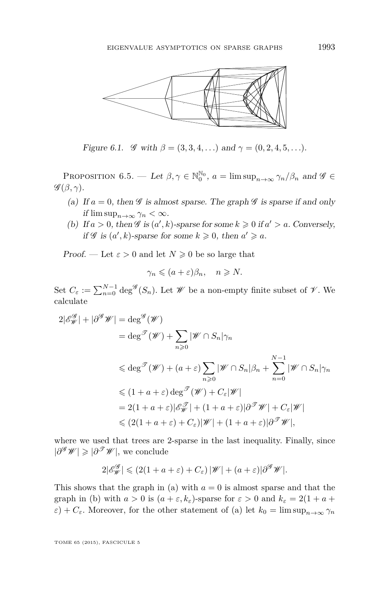

Figure 6.1.  $\mathscr G$  with  $\beta = (3, 3, 4, ...)$  and  $\gamma = (0, 2, 4, 5, ...)$ .

PROPOSITION 6.5. — Let  $\beta, \gamma \in \mathbb{N}_0^{\mathbb{N}_0}$ ,  $a = \limsup_{n \to \infty} \gamma_n/\beta_n$  and  $\mathscr{G} \in$  $\mathscr{G}(\beta,\gamma).$ 

- (a) If  $a = 0$ , then  $\mathscr G$  is almost sparse. The graph  $\mathscr G$  is sparse if and only if  $\limsup_{n\to\infty} \gamma_n < \infty$ .
- (b) If  $a > 0$ , then  $\mathscr G$  is  $(a', k)$ -sparse for some  $k \geq 0$  if  $a' > a$ . Conversely, if  $\mathscr G$  is  $(a', k)$ -sparse for some  $k \geqslant 0$ , then  $a' \geqslant a$ .

Proof. — Let  $\varepsilon > 0$  and let  $N \geq 0$  be so large that

$$
\gamma_n \leqslant (a+\varepsilon)\beta_n, \quad n \geqslant N.
$$

Set  $C_{\varepsilon} := \sum_{n=0}^{N-1} \deg^{\mathscr{G}}(S_n)$ . Let  $\mathscr{W}$  be a non-empty finite subset of  $\mathscr{V}$ . We calculate

$$
2|\mathscr{E}_{\mathscr{W}}^{\mathscr{G}}| + |\partial^{\mathscr{G}}\mathscr{W}| = \deg^{\mathscr{G}}(\mathscr{W})
$$
  
\n
$$
= \deg^{\mathscr{T}}(\mathscr{W}) + \sum_{n\geq 0} |\mathscr{W} \cap S_n|\gamma_n
$$
  
\n
$$
\leq \deg^{\mathscr{T}}(\mathscr{W}) + (a+\varepsilon) \sum_{n\geq 0} |\mathscr{W} \cap S_n|\beta_n + \sum_{n=0}^{N-1} |\mathscr{W} \cap S_n|\gamma_n
$$
  
\n
$$
\leq (1+a+\varepsilon) \deg^{\mathscr{T}}(\mathscr{W}) + C_{\varepsilon}|\mathscr{W}|
$$
  
\n
$$
= 2(1+a+\varepsilon)|\mathscr{E}_{\mathscr{W}}^{\mathscr{T}}| + (1+a+\varepsilon)|\partial^{\mathscr{T}}\mathscr{W}| + C_{\varepsilon}|\mathscr{W}|
$$
  
\n
$$
\leq (2(1+a+\varepsilon)+C_{\varepsilon})|\mathscr{W}| + (1+a+\varepsilon)|\partial^{\mathscr{T}}\mathscr{W}|,
$$

where we used that trees are 2-sparse in the last inequality. Finally, since  $|\partial^{\mathscr{G}}\mathscr{W}| \geqslant |\partial^{\mathscr{T}}\mathscr{W}|$ , we conclude

$$
2|\mathscr{E}_{\mathscr{W}}^{\mathscr{G}}| \leqslant (2(1+a+\varepsilon)+C_{\varepsilon})\,|\mathscr{W}|+(a+\varepsilon)|\partial^{\mathscr{G}}\mathscr{W}|.
$$

This shows that the graph in (a) with  $a = 0$  is almost sparse and that the graph in (b) with  $a > 0$  is  $(a + \varepsilon, k_{\varepsilon})$ -sparse for  $\varepsilon > 0$  and  $k_{\varepsilon} = 2(1 + a +$  $\varepsilon$ ) +  $C_{\varepsilon}$ . Moreover, for the other statement of (a) let  $k_0 = \limsup_{n\to\infty} \gamma_n$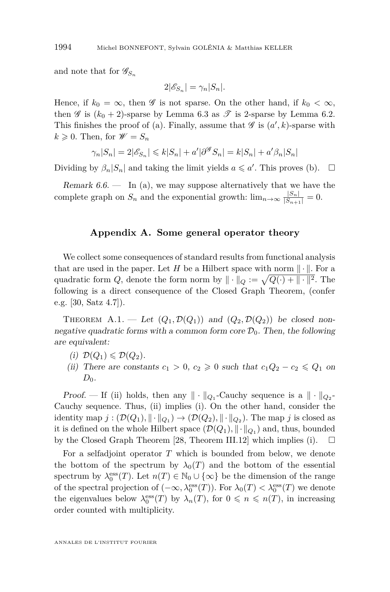and note that for  $\mathscr{G}_{S_n}$ 

$$
2|\mathscr{E}_{S_n}| = \gamma_n |S_n|.
$$

Hence, if  $k_0 = \infty$ , then  $\mathscr G$  is not sparse. On the other hand, if  $k_0 < \infty$ , then  $\mathscr G$  is  $(k_0 + 2)$ -sparse by Lemma [6.3](#page-23-0) as  $\mathscr T$  is 2-sparse by Lemma [6.2.](#page-23-0) This finishes the proof of (a). Finally, assume that  $\mathscr G$  is  $(a', k)$ -sparse with  $k \geqslant 0$ . Then, for  $\mathscr{W} = S_n$ 

$$
\gamma_n|S_n| = 2|\mathscr{E}_{S_n}| \leq k|S_n| + a'|\partial^{\mathscr{G}} S_n| = k|S_n| + a'\beta_n|S_n|
$$

Dividing by  $\beta_n |S_n|$  and taking the limit yields  $a \leq a'$ . This proves (b).  $\Box$ 

Remark  $6.6.$  — In (a), we may suppose alternatively that we have the complete graph on  $S_n$  and the exponential growth:  $\lim_{n\to\infty} \frac{|S_n|}{|S_{n+1}|} = 0$ .

#### **Appendix A. Some general operator theory**

We collect some consequences of standard results from functional analysis that are used in the paper. Let *H* be a Hilbert space with norm  $\|\cdot\|$ . For a quadratic form *Q*, denote the form norm by  $\|\cdot\|_Q := \sqrt{Q(\cdot) + \| \cdot \|^2}$ . The following is a direct consequence of the Closed Graph Theorem, (confer e.g. [\[30,](#page-29-0) Satz 4.7]).

THEOREM A.1. — Let  $(Q_1, \mathcal{D}(Q_1))$  and  $(Q_2, \mathcal{D}(Q_2))$  be closed nonnegative quadratic forms with a common form core  $\mathcal{D}_0$ . Then, the following are equivalent:

- $(i)$   $\mathcal{D}(Q_1) \leq \mathcal{D}(Q_2)$ .
- (ii) There are constants  $c_1 > 0$ ,  $c_2 \geq 0$  such that  $c_1Q_2 c_2 \leq Q_1$  on  $D_0$ .

Proof. — If (ii) holds, then any  $\|\cdot\|_{Q_1}$ -Cauchy sequence is a  $\|\cdot\|_{Q_2}$ -Cauchy sequence. Thus, (ii) implies (i). On the other hand, consider the identity map  $j : (\mathcal{D}(Q_1), \|\cdot\|_{Q_1}) \to (\mathcal{D}(Q_2), \|\cdot\|_{Q_2})$ . The map  $j$  is closed as it is defined on the whole Hilbert space  $(\mathcal{D}(Q_1), \|\cdot\|_{Q_1})$  and, thus, bounded by the Closed Graph Theorem [\[28,](#page-29-0) Theorem III.12] which implies (i).  $\Box$ 

For a selfadjoint operator *T* which is bounded from below, we denote the bottom of the spectrum by  $\lambda_0(T)$  and the bottom of the essential spectrum by  $\lambda_0^{\text{ess}}(T)$ . Let  $n(T) \in \mathbb{N}_0 \cup \{\infty\}$  be the dimension of the range of the spectral projection of  $(-\infty, \lambda_0^{\text{ess}}(T))$ . For  $\lambda_0(T) < \lambda_0^{\text{ess}}(T)$  we denote the eigenvalues below  $\lambda_0^{\text{ess}}(T)$  by  $\lambda_n(T)$ , for  $0 \leq n \leq n(T)$ , in increasing order counted with multiplicity.

<span id="page-26-0"></span>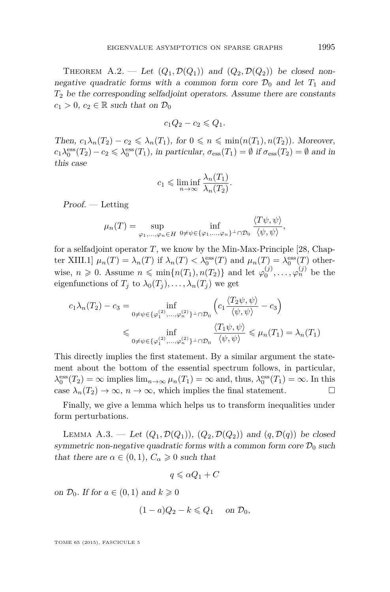<span id="page-27-0"></span>THEOREM A.2. — Let  $(Q_1, \mathcal{D}(Q_1))$  and  $(Q_2, \mathcal{D}(Q_2))$  be closed nonnegative quadratic forms with a common form core  $\mathcal{D}_0$  and let  $T_1$  and *T*<sup>2</sup> be the corresponding selfadjoint operators. Assume there are constants  $c_1 > 0$ ,  $c_2 \in \mathbb{R}$  such that on  $\mathcal{D}_0$ 

$$
c_1Q_2 - c_2 \leqslant Q_1.
$$

Then,  $c_1\lambda_n(T_2) - c_2 \leq \lambda_n(T_1)$ , for  $0 \leq n \leq \min(n(T_1), n(T_2))$ . Moreover,  $c_1\lambda_0^{\text{ess}}(T_2) - c_2 \leq \lambda_0^{\text{ess}}(T_1)$ , in particular,  $\sigma_{\text{ess}}(T_1) = \emptyset$  if  $\sigma_{\text{ess}}(T_2) = \emptyset$  and in this case

$$
c_1 \leqslant \liminf_{n \to \infty} \frac{\lambda_n(T_1)}{\lambda_n(T_2)}.
$$

 $Proof. - Letting$ 

$$
\mu_n(T) = \sup_{\varphi_1,\dots,\varphi_n \in H} \inf_{0 \neq \psi \in {\{\varphi_1,\dots,\varphi_n\}}^\perp \cap \mathcal{D}_0} \frac{\langle T\psi,\psi \rangle}{\langle \psi,\psi \rangle},
$$

for a selfadjoint operator  $T$ , we know by the Min-Max-Principle [\[28,](#page-29-0) Chapter XIII.1]  $\mu_n(T) = \lambda_n(T)$  if  $\lambda_n(T) < \lambda_0^{\text{ess}}(T)$  and  $\mu_n(T) = \lambda_0^{\text{ess}}(T)$  otherwise,  $n \geq 0$ . Assume  $n \leq \min\{n(T_1), n(T_2)\}\$  and let  $\varphi_0^{(j)}, \ldots, \varphi_n^{(j)}$  be the eigenfunctions of  $T_j$  to  $\lambda_0(T_j), \ldots, \lambda_n(T_j)$  we get

$$
c_1 \lambda_n(T_2) - c_3 = \inf_{0 \neq \psi \in {\{\varphi_1^{(2)}, \dots, \varphi_n^{(2)}\}} \perp \cap \mathcal{D}_0} \left( c_1 \frac{\langle T_2 \psi, \psi \rangle}{\langle \psi, \psi \rangle} - c_3 \right)
$$
  
\$\leqslant \inf\_{0 \neq \psi \in {\{\varphi\_1^{(2)}, \dots, \varphi\_n^{(2)}\}} \perp \cap \mathcal{D}\_0} \frac{\langle T\_1 \psi, \psi \rangle}{\langle \psi, \psi \rangle} \leqslant \mu\_n(T\_1) = \lambda\_n(T\_1)\$

This directly implies the first statement. By a similar argument the statement about the bottom of the essential spectrum follows, in particular,  $\lambda_0^{\text{ess}}(T_2) = \infty$  implies  $\lim_{n \to \infty} \mu_n(T_1) = \infty$  and, thus,  $\lambda_0^{\text{ess}}(T_1) = \infty$ . In this case  $\lambda_n(T_2) \to \infty$ ,  $n \to \infty$ , which implies the final statement.

Finally, we give a lemma which helps us to transform inequalities under form perturbations.

LEMMA A.3. — Let  $(Q_1, \mathcal{D}(Q_1)), (Q_2, \mathcal{D}(Q_2))$  and  $(q, \mathcal{D}(q))$  be closed symmetric non-negative quadratic forms with a common form core  $\mathcal{D}_0$  such that there are  $\alpha \in (0,1)$ ,  $C_{\alpha} \geq 0$  such that

$$
q\leqslant \alpha Q_1+C
$$

on  $\mathcal{D}_0$ . If for  $a \in (0,1)$  and  $k \geq 0$ 

$$
(1-a)Q_2 - k \leqslant Q_1 \quad \text{ on } \mathcal{D}_0,
$$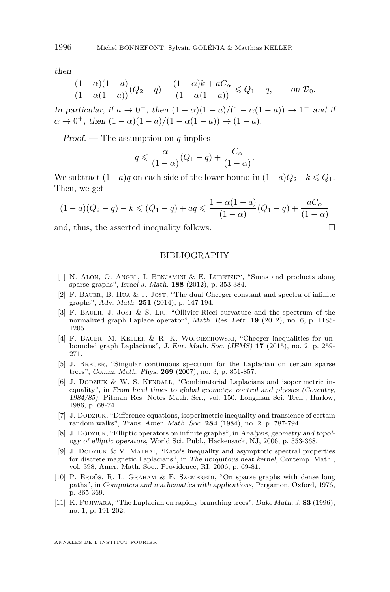<span id="page-28-0"></span>then

$$
\frac{(1-\alpha)(1-a)}{(1-\alpha(1-a))}(Q_2-q)-\frac{(1-\alpha)k+aC_{\alpha}}{(1-\alpha(1-a))}\leqslant Q_1-q,\qquad\text{on }\mathcal{D}_0.
$$

In particular, if  $a \to 0^+$ , then  $(1 - \alpha)(1 - a)/(1 - \alpha(1 - a)) \to 1^-$  and if  $\alpha \to 0^+$ , then  $(1 - \alpha)(1 - a)/(1 - \alpha(1 - a)) \to (1 - a)$ .

Proof. — The assumption on *q* implies

$$
q \leqslant \frac{\alpha}{(1-\alpha)}(Q_1 - q) + \frac{C_{\alpha}}{(1-\alpha)}.
$$

We subtract  $(1-a)q$  on each side of the lower bound in  $(1-a)Q_2-k \leq Q_1$ . Then, we get

$$
(1-a)(Q_2 - q) - k \leq (Q_1 - q) + aq \leq \frac{1 - \alpha(1 - a)}{(1 - \alpha)}(Q_1 - q) + \frac{aC_{\alpha}}{(1 - \alpha)}
$$

and, thus, the asserted inequality follows.  $\Box$ 

#### BIBLIOGRAPHY

- [1] N. Alon, O. Angel, I. Benjamini & E. Lubetzky, "Sums and products along sparse graphs", Israel J. Math. **188** (2012), p. 353-384.
- [2] F. Bauer, B. Hua & J. Jost, "The dual Cheeger constant and spectra of infinite graphs", Adv. Math. **251** (2014), p. 147-194.
- [3] F. Bauer, J. Jost & S. Liu, "Ollivier-Ricci curvature and the spectrum of the normalized graph Laplace operator", Math. Res. Lett. **19** (2012), no. 6, p. 1185- 1205.
- [4] F. Bauer, M. Keller & R. K. Wojciechowski, "Cheeger inequalities for unbounded graph Laplacians", J. Eur. Math. Soc. (JEMS) **17** (2015), no. 2, p. 259- 271.
- [5] J. Breuer, "Singular continuous spectrum for the Laplacian on certain sparse trees", Comm. Math. Phys. **269** (2007), no. 3, p. 851-857.
- [6] J. DODZIUK & W. S. KENDALL, "Combinatorial Laplacians and isoperimetric inequality", in From local times to global geometry, control and physics (Coventry, 1984/85), Pitman Res. Notes Math. Ser., vol. 150, Longman Sci. Tech., Harlow, 1986, p. 68-74.
- [7] J. Dodziuk, "Difference equations, isoperimetric inequality and transience of certain random walks", Trans. Amer. Math. Soc. **284** (1984), no. 2, p. 787-794.
- [8] J. DODZIUK, "Elliptic operators on infinite graphs", in Analysis, geometry and topology of elliptic operators, World Sci. Publ., Hackensack, NJ, 2006, p. 353-368.
- [9] J. Dodziuk & V. Mathai, "Kato's inequality and asymptotic spectral properties for discrete magnetic Laplacians", in The ubiquitous heat kernel, Contemp. Math., vol. 398, Amer. Math. Soc., Providence, RI, 2006, p. 69-81.
- [10] P. Erdős, R. L. Graham & E. Szemeredi, "On sparse graphs with dense long paths", in Computers and mathematics with applications, Pergamon, Oxford, 1976, p. 365-369.
- [11] K. Fujiwara, "The Laplacian on rapidly branching trees", Duke Math. J. **83** (1996), no. 1, p. 191-202.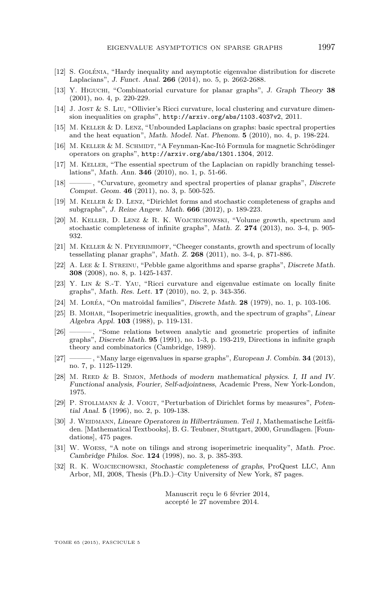- <span id="page-29-0"></span>[12] S. Golénia, "Hardy inequality and asymptotic eigenvalue distribution for discrete Laplacians", J. Funct. Anal. **266** (2014), no. 5, p. 2662-2688.
- [13] Y. Higuchi, "Combinatorial curvature for planar graphs", J. Graph Theory **38** (2001), no. 4, p. 220-229.
- [14] J. JOST & S. LIU, "Ollivier's Ricci curvature, local clustering and curvature dimension inequalities on graphs", <http://arxiv.org/abs/1103.4037v2>, 2011.
- [15] M. Keller & D. Lenz, "Unbounded Laplacians on graphs: basic spectral properties and the heat equation", Math. Model. Nat. Phenom. **5** (2010), no. 4, p. 198-224.
- [16] M. KELLER & M. SCHMIDT, "A Feynman-Kac-Itô Formula for magnetic Schrödinger operators on graphs", <http://arxiv.org/abs/1301.1304>, 2012.
- [17] M. Keller, "The essential spectrum of the Laplacian on rapidly branching tessellations", Math. Ann. **346** (2010), no. 1, p. 51-66.
- [18] ——, "Curvature, geometry and spectral properties of planar graphs", Discrete Comput. Geom. **46** (2011), no. 3, p. 500-525.
- [19] M. Keller & D. Lenz, "Dirichlet forms and stochastic completeness of graphs and subgraphs", J. Reine Angew. Math. **666** (2012), p. 189-223.
- [20] M. Keller, D. Lenz & R. K. Wojciechowski, "Volume growth, spectrum and stochastic completeness of infinite graphs", Math. Z. **274** (2013), no. 3-4, p. 905- 932.
- [21] M. KELLER & N. PEYERIMHOFF, "Cheeger constants, growth and spectrum of locally tessellating planar graphs", Math. Z. **268** (2011), no. 3-4, p. 871-886.
- [22] A. LEE & I. STREINU, "Pebble game algorithms and sparse graphs", Discrete Math. **308** (2008), no. 8, p. 1425-1437.
- [23] Y. Lin & S.-T. Yau, "Ricci curvature and eigenvalue estimate on locally finite graphs", Math. Res. Lett. **17** (2010), no. 2, p. 343-356.
- [24] M. Loréa, "On matroidal families", Discrete Math. **28** (1979), no. 1, p. 103-106.
- [25] B. Mohar, "Isoperimetric inequalities, growth, and the spectrum of graphs", Linear Algebra Appl. **103** (1988), p. 119-131.
- [26] ——— , "Some relations between analytic and geometric properties of infinite graphs", Discrete Math. **95** (1991), no. 1-3, p. 193-219, Directions in infinite graph theory and combinatorics (Cambridge, 1989).
- [27] ——— , "Many large eigenvalues in sparse graphs", European J. Combin. **34** (2013), no. 7, p. 1125-1129.
- [28] M. REED & B. SIMON, Methods of modern mathematical physics. I, II and IV. Functional analysis, Fourier, Self-adjointness, Academic Press, New York-London, 1975.
- [29] P. Stollmann & J. Voigt, "Perturbation of Dirichlet forms by measures", Potential Anal. **5** (1996), no. 2, p. 109-138.
- [30] J. WEIDMANN, Lineare Operatoren in Hilberträumen. Teil 1, Mathematische Leitfäden. [Mathematical Textbooks], B. G. Teubner, Stuttgart, 2000, Grundlagen. [Foundations], 475 pages.
- [31] W. Woess, "A note on tilings and strong isoperimetric inequality", Math. Proc. Cambridge Philos. Soc. **124** (1998), no. 3, p. 385-393.
- [32] R. K. Wojciechowski, Stochastic completeness of graphs, ProQuest LLC, Ann Arbor, MI, 2008, Thesis (Ph.D.)–City University of New York, 87 pages.

Manuscrit reçu le 6 février 2014, accepté le 27 novembre 2014.